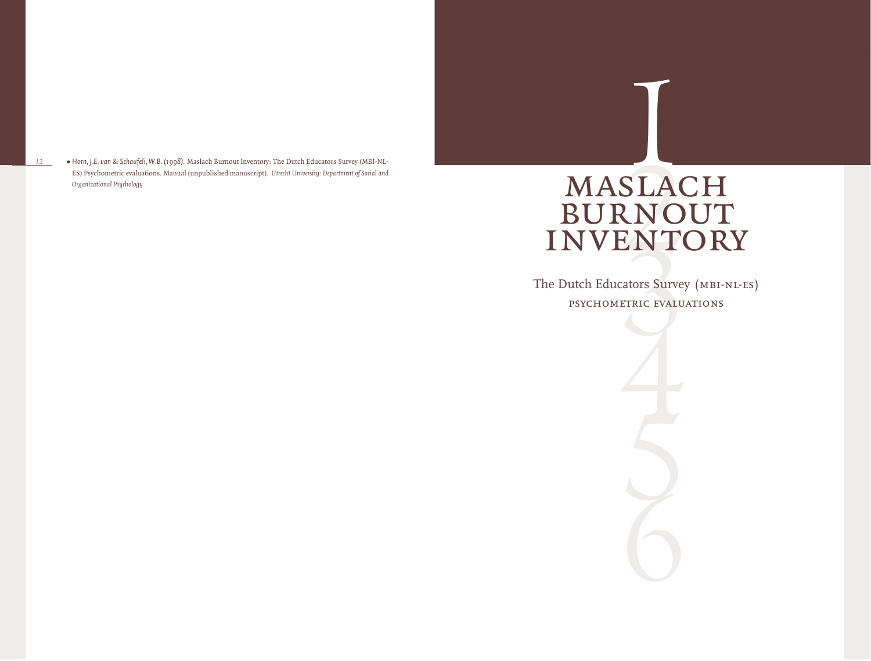*•Horn, J.E. van & Schaufeli, W.B. (1998).* Maslach Burnout Inventory: The Dutch Educators Survey (MBI-NL-ES) Psychometric evaluations. Manual (unpublished manuscript). *Utrecht University: Department of Social and Organizational Psychology*

*12*

# SLAC<br>
SLAC<br>
ETRIC EVALU MASLACH BURNOUT **INVENTORY**

The Dutch Educators Survey (MBI-NL-ES) psychometric evaluations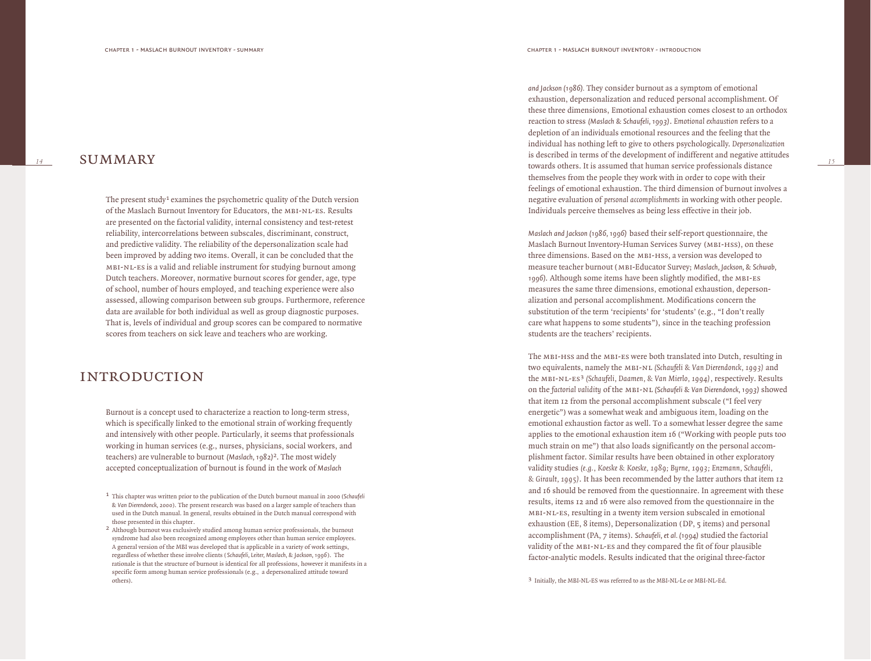*14*

**SUMMARY** 

The present study<sup>1</sup> examines the psychometric quality of the Dutch version of the Maslach Burnout Inventory for Educators, the mbi-nl-es. Results are presented on the factorial validity, internal consistency and test-retest reliability, intercorrelations between subscales, discriminant, construct, and predictive validity. The reliability of the depersonalization scale had been improved by adding two items. Overall, it can be concluded that the mbi-nl-es is a valid and reliable instrument for studying burnout among Dutch teachers. Moreover, normative burnout scores for gender, age, type of school, number of hours employed, and teaching experience were also assessed, allowing comparison between sub groups. Furthermore, reference data are available for both individual as well as group diagnostic purposes. That is, levels of individual and group scores can be compared to normative scores from teachers on sick leave and teachers who are working.

# **INTRODUCTION**

Burnout is a concept used to characterize a reaction to long-term stress, which is specifically linked to the emotional strain of working frequently and intensively with other people. Particularly, it seems that professionals working in human services (e.g., nurses, physicians, social workers, and teachers) are vulnerable to burnout *(Maslach, 1982)* 2. The most widely accepted conceptualization of burnout is found in the work of *Maslach* 

*and Jackson (1986).* They consider burnout as a symptom of emotional exhaustion, depersonalization and reduced personal accomplishment. Of these three dimensions, Emotional exhaustion comes closest to an orthodox reaction to stress *(Maslach & Schaufeli, 1993)* . *Emotional exhaustion* refers to a depletion of an individuals emotional resources and the feeling that the individual has nothing left to give to others psychologically. *Depersonalization* is described in terms of the development of indifferent and negative attitudes towards others. It is assumed that human service professionals distance themselves from the people they work with in order to cope with their feelings of emotional exhaustion. The third dimension of burnout involves a negative evaluation of *personal accomplishments* in working with other people. Individuals perceive themselves as being less effective in their job.

*Maslach and Jackson (1986, 1996)* based their self-report questionnaire, the Maslach Burnout Inventory-Human Services Survey (mbi-hss), on these three dimensions. Based on the MBI-HSS, a version was developed to measure teacher burnout (mbi-Educator Survey; *Maslach, Jackson, & Schwab, 1996)*. Although some items have been slightly modified, the mbi-es measures the same three dimensions, emotional exhaustion, depersonalization and personal accomplishment. Modifications concern the substitution of the term 'recipients' for 'students' (e.g., "I don't really care what happens to some students"), since in the teaching profession students are the teachers' recipients.

The mbi-hss and the mbi-es were both translated into Dutch, resulting in two equivalents, namely the mbi-nl *(Schaufeli & Van Dierendonck, 1993)* and the mbi-nl-e s 3 *(Schaufeli, Daamen, & Van Mierlo, 1994)*, respectively. Results on the *factorial validity* of the mbi-nl *(Schaufeli & Van Dierendonck, 1993)* showed that item 12 from the personal accomplishment subscale ("I feel very energetic") was a somewhat weak and ambiguous item, loading on the emotional exhaustion factor as well. To a somewhat lesser degree the same applies to the emotional exhaustion item 16 ("Working with people puts too much strain on me") that also loads significantly on the personal accomplishment factor. Similar results have been obtained in other exploratory validity studies *(e.g., Koeske & Koeske, 1989; Byrne, 1993; Enzmann, Schaufeli, & Girault, 1995)*. It has been recommended by the latter authors that item 12 and 16 should be removed from the questionnaire. In agreement with these results, items 12 and 16 were also removed from the questionnaire in the mbi-nl-es, resulting in a twenty item version subscaled in emotional exhaustion (EE, 8 items), Depersonalization (DP, 5 items) and personal accomplishment (PA, 7 items). *Schaufeli, et al. (1994)* studied the factorial validity of the MBI-NL-ES and they compared the fit of four plausible factor-analytic models. Results indicated that the original three-factor

3 Initially, the MBI-NL-ES was referred to as the MBI-NL-Le or MBI-NL-Ed.

<sup>1</sup> This chapter was written prior to the publication of the Dutch burnout manual in 2000 (*Schaufeli & Van Dierendonck, 2000*). The present research was based on a larger sample of teachers than used in the Dutch manual. In general, results obtained in the Dutch manual correspond with those presented in this chapter .

<sup>2</sup> Although burnout was exclusively studied among human service professionals, the burnout syndrome had also been recognized among employees other than human service employees. A general version of the MBI was developed that is applicable in a variety of work settings, regardless of whether these involve clients ( *Schaufeli, Leiter, Maslach, & Jackson, 1996*). The rationale is that the structure of burnout is identical for all professions, however it manifests in a specific form among human service professionals (e.g., a depersonalized attitude toward others).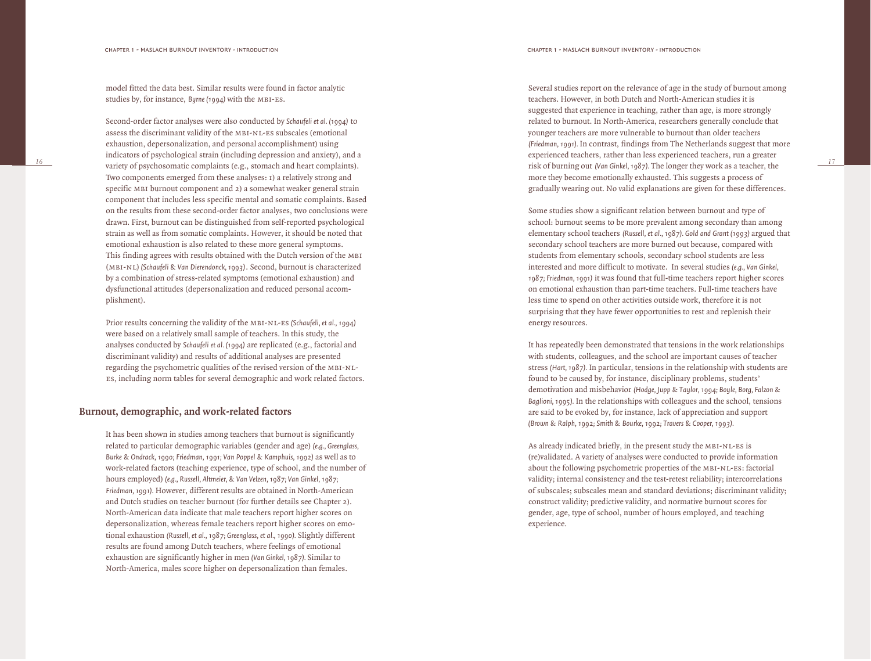model fitted the data best. Similar results were found in factor analytic studies by, for instance, *Byrne (1994)* with the mbi-es .

Second-order factor analyses were also conducted by *Schaufeli et al. (1994)* to assess the discriminant validity of the MBI-NL-ES subscales (emotional exhaustion, depersonalization, and personal accomplishment) using indicators of psychological strain (including depression and anxiety), and a variety of psychosomatic complaints (e.g., stomach and heart complaints). Two components emerged from these analyses: 1) a relatively strong and specific MBI burnout component and 2) a somewhat weaker general strain component that includes less specific mental and somatic complaints. Based on the results from these second-order factor analyses, two conclusions were drawn. First, burnout can be distinguished from self-reported psychological strain as well as from somatic complaints. However, it should be noted that emotional exhaustion is also related to these more general symptoms. This finding agrees with results obtained with the Dutch version of the mbi (mbi-nl) *(Schaufeli & Van Dierendonck, 1993)*. Second, burnout is characterized by a combination of stress-related symptoms (emotional exhaustion) and dysfunctional attitudes (depersonalization and reduced personal accomplishment).

Prior results concerning the validity of the MBI-NL-ES *(Schaufeli, et al., 1994)* were based on a relatively small sample of teachers. In this study, the analyses conducted by *Schaufeli et al. (1994)* are replicated (e.g., factorial and discriminant validity) and results of additional analyses are presented regarding the psychometric qualities of the revised version of the mbi-nles, including norm tables for several demographic and work related factors.

# **Burnout, demographic, and work-related factors**

It has been shown in studies among teachers that burnout is significantly related to particular demographic variables (gender and age) *(e.g., Greenglass, Burke & Ondrack, 1990; Friedman, 1991; Van Poppel & Kamphuis, 1992)* as well as to work-related factors (teaching experience, type of school, and the number of hours employed) *(e.g., Russell, Altmeier, & Van Velzen, 1987; Van Ginkel, 1987; Friedman, 1991).* However, different results are obtained in North-American and Dutch studies on teacher burnout (for further details see Chapter 2). North-American data indicate that male teachers report higher scores on depersonalization, whereas female teachers report higher scores on emotional exhaustion *(Russell, et al., 1987; Greenglass, et al., 1990).* Slightly different results are found among Dutch teachers, where feelings of emotional exhaustion are significantly higher in men *(Van Ginkel, 1987).* Similar to North-America, males score higher on depersonalization than females.

Several studies report on the relevance of age in the study of burnout among teachers. However, in both Dutch and North-American studies it is suggested that experience in teaching, rather than age, is more strongly related to burnout. In North-America, researchers generally conclude that younger teachers are more vulnerable to burnout than older teachers *(Friedman, 1991).* In contrast, findings from The Netherlands suggest that more experienced teachers, rather than less experienced teachers, run a greater risk of burning out *(Van Ginkel, 1987).* The longer they work as a teacher, the more they become emotionally exhausted. This suggests a process of gradually wearing out. No valid explanations are given for these differences.

Some studies show a significant relation between burnout and type of school: burnout seems to be more prevalent among secondary than among elementary school teachers *(Russell, et al., 1987). Gold and Grant (1993)* argued that secondary school teachers are more burned out because, compared with students from elementary schools, secondary school students are less interested and more difficult to motivate. In several studies *(e.g., Van Ginkel, 1987; Friedman, 1991)* it was found that full-time teachers report higher scores on emotional exhaustion than part-time teachers. Full-time teachers have less time to spend on other activities outside work, therefore it is not surprising that they have fewer opportunities to rest and replenish their energy resources.

It has repeatedly been demonstrated that tensions in the work relationships with students, colleagues, and the school are important causes of teacher stress *(Hart, 1987).* In particular, tensions in the relationship with students are found to be caused by, for instance, disciplinary problems, students' demotivation and misbehavior *(Hodge, Jupp & Taylor, 1994; Boyle, Borg, Falzon & Baglioni, 1995).* In the relationships with colleagues and the school, tensions are said to be evoked by, for instance, lack of appreciation and support *(Brown & Ralph, 1992; Smith & Bourke, 1992; Travers & Cooper, 1993).*

As already indicated briefly, in the present study the MBI-NL-ES is (re)validated. A variety of analyses were conducted to provide information about the following psychometric properties of the MBI-NL-ES: factorial validity; internal consistency and the test-retest reliability; intercorrelations of subscales; subscales mean and standard deviations; discriminant validity; construct validity; predictive validity, and normative burnout scores for gender, age, type of school, number of hours employed, and teaching experience.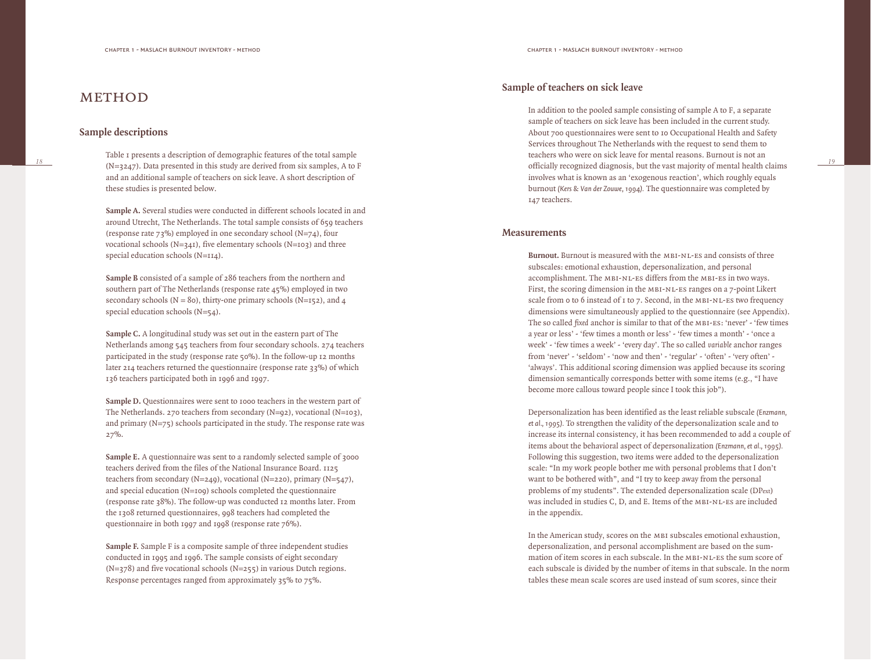# METHOD

#### **Sample descriptions**

Table 1 presents a description of demographic features of the total sample  $(N=3247)$ . Data presented in this study are derived from six samples, A to F and an additional sample of teachers on sick leave. A short description of these studies is presented below.

**Sample A.** Several studies were conducted in different schools located in and around Utrecht, The Netherlands. The total sample consists of 659 teachers (response rate  $73\%$ ) employed in one secondary school (N=74), four vocational schools (N=341), five elementary schools (N=103) and three special education schools (N=114).

**Sample B** consisted of a sample of 286 teachers from the northern and southern part of The Netherlands (response rate 45%) employed in two secondary schools ( $N = 80$ ), thirty-one primary schools ( $N = 152$ ), and 4 special education schools (N=54).

**Sample C.** A longitudinal study was set out in the eastern part of The Netherlands among 545 teachers from four secondary schools. 274 teachers participated in the study (response rate 50%). In the follow-up 12 months later 214 teachers returned the questionnaire (response rate 33%) of which 136 teachers participated both in 1996 and 1997.

**Sample D.** Questionnaires were sent to 1000 teachers in the western part of The Netherlands. 270 teachers from secondary (N=92), vocational (N=103), and primary  $(N=75)$  schools participated in the study. The response rate was 27%.

**Sample E.** A questionnaire was sent to a randomly selected sample of 3000 teachers derived from the files of the National Insurance Board. 1125 teachers from secondary (N=249), vocational (N=220), primary (N=547), and special education (N=109) schools completed the questionnaire (response rate 38%). The follow-up was conducted 12 months later. From the 1308 returned questionnaires, 998 teachers had completed the questionnaire in both 1997 and 1998 (response rate 76%).

**Sample F.** Sample F is a composite sample of three independent studies conducted in 1995 and 1996. The sample consists of eight secondary  $(N=378)$  and five vocational schools  $(N=255)$  in various Dutch regions. Response percentages ranged from approximately 35% to 75%.

# **Sample of teachers on sick leave**

In addition to the pooled sample consisting of sample A to F, a separate sample of teachers on sick leave has been included in the current study. About 700 questionnaires were sent to 10 Occupational Health and Safety Services throughout The Netherlands with the request to send them to teachers who were on sick leave for mental reasons. Burnout is not an officially recognized diagnosis, but the vast majority of mental health claims involves what is known as an 'exogenous reaction', which roughly equals burnout *(Kers & Van der Zouwe, 1994).* The questionnaire was completed by 147 teachers.

*19*

#### **Measurements**

**Burnout.** Burnout is measured with the MBI-NL-ES and consists of three subscales: emotional exhaustion, depersonalization, and personal accomplishment. The MBI-NL-ES differs from the MBI-ES in two ways. First, the scoring dimension in the MBI-NL-ES ranges on a 7-point Likert scale from 0 to 6 instead of 1 to 7. Second, in the MBI-NL-ES two frequency dimensions were simultaneously applied to the questionnaire (see Appendix). The so called *fixed* anchor is similar to that of the mbi-es: 'never' - 'few times a year or less' - 'few times a month or less' - 'few times a month' - 'once a week' - 'few times a week' - 'every day'. The so called *variable* anchor ranges from 'never' - 'seldom' - 'now and then' - 'regular' - 'often' - 'very often' - 'always'. This additional scoring dimension was applied because its scoring dimension semantically corresponds better with some items (e.g., "I have become more callous toward people since I took this job").

Depersonalization has been identified as the least reliable subscale *(Enzmann, et al., 1995).* To strengthen the validity of the depersonalization scale and to increase its internal consistency, it has been recommended to add a couple of items about the behavioral aspect of depersonalization *(Enzmann, et al., 1995).* Following this suggestion, two items were added to the depersonalization scale: "In my work people bother me with personal problems that I don't want to be bothered with", and "I try to keep away from the personal problems of my students". The extended depersonalization scale (DPext) was included in studies C, D, and E. Items of the MBI-NL-ES are included in the appendix.

In the American study, scores on the MBI subscales emotional exhaustion, depersonalization, and personal accomplishment are based on the summation of item scores in each subscale. In the MBI-NL-ES the sum score of each subscale is divided by the number of items in that subscale. In the norm tables these mean scale scores are used instead of sum scores, since their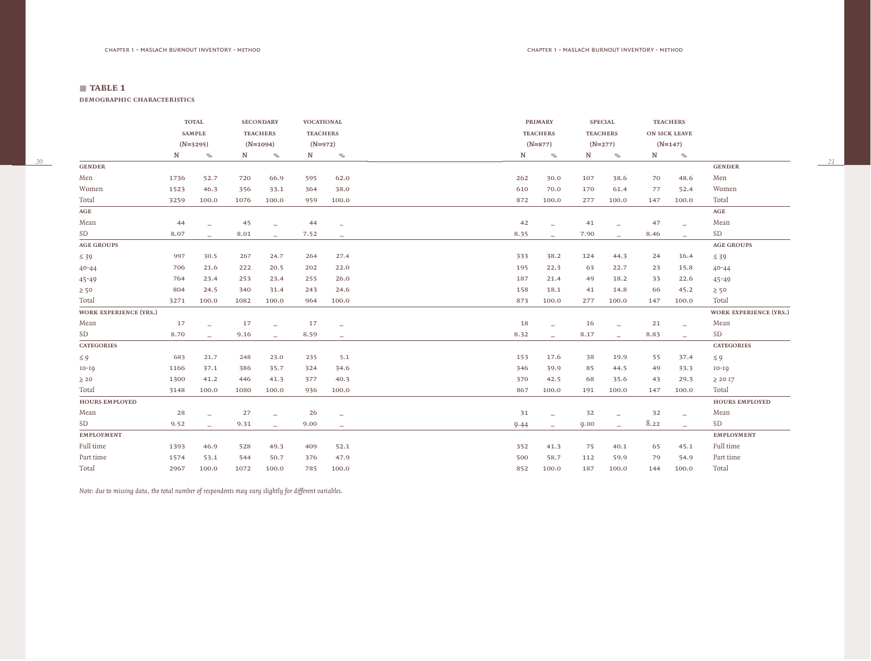*20*

**demographic characteristics**

|                               |           | <b>TOTAL</b>             |      | <b>SECONDARY</b>            | <b>VOCATIONAL</b> |                              |           | <b>PRIMARY</b>  |                          |      | <b>SPECIAL</b>           |      | <b>TEACHERS</b>            |                               |
|-------------------------------|-----------|--------------------------|------|-----------------------------|-------------------|------------------------------|-----------|-----------------|--------------------------|------|--------------------------|------|----------------------------|-------------------------------|
|                               |           | <b>SAMPLE</b>            |      | <b>TEACHERS</b>             | <b>TEACHERS</b>   |                              |           | <b>TEACHERS</b> |                          |      | <b>TEACHERS</b>          |      | <b>ON SICK LEAVE</b>       |                               |
|                               |           | $(N=3295)$               |      | $(N=1094)$                  | $(N=972)$         |                              |           | $(N=877)$       |                          |      | $(N=277)$                |      | $(N=147)$                  |                               |
|                               | ${\bf N}$ | $\frac{1}{\sqrt{2}}$     | N    | $\mathcal{O}_{\mathcal{O}}$ | $\mathbf N$       | $\mathcal{O}/_{\mathcal{O}}$ | ${\bf N}$ |                 | $\frac{1}{\sqrt{2}}$     | N    | $\frac{1}{2}$            | N    | $\mathsf{o}_{\mathsf{lo}}$ |                               |
| <b>GENDER</b>                 |           |                          |      |                             |                   |                              |           |                 |                          |      |                          |      |                            | <b>GENDER</b>                 |
| Men                           | 1736      | 52.7                     | 720  | 66.9                        | 595               | 62.0                         | 262       |                 | 30.0                     | 107  | 38.6                     | 70   | 48.6                       | Men                           |
| Women                         | 1523      | 46.3                     | 356  | 33.1                        | 364               | 38.0                         | 610       |                 | 70.0                     | 170  | 61.4                     | 77   | 52.4                       | Women                         |
| Total                         | 3259      | 100.0                    | 1076 | 100.0                       | 959               | 100.0                        | 872       |                 | 100.0                    | 277  | 100.0                    | 147  | 100.0                      | Total                         |
| $\mathbf{AGE}$                |           |                          |      |                             |                   |                              |           |                 |                          |      |                          |      |                            | $\mathbf{AGE}$                |
| Mean                          | 44        |                          | 45   |                             | 44                | $\overline{\phantom{m}}$     | 42        |                 |                          | 41   | $\overline{\phantom{0}}$ | 47   | $\overline{\phantom{0}}$   | Mean                          |
| SD                            | 8.07      | $\overline{\phantom{0}}$ | 8.01 | $\equiv$                    | 7.52              | $-$                          | 8.35      |                 | $\overline{\phantom{0}}$ | 7.90 | $\equiv$                 | 8.46 | $\overline{\phantom{0}}$   | SD                            |
| <b>AGE GROUPS</b>             |           |                          |      |                             |                   |                              |           |                 |                          |      |                          |      |                            | <b>AGE GROUPS</b>             |
| $\leq 39$                     | 997       | 30.5                     | 267  | 24.7                        | 264               | 27.4                         | 333       |                 | 38.2                     | 124  | 44.3                     | 24   | 16.4                       | $\leq 39$                     |
| $40 - 44$                     | 706       | 21.6                     | 222  | 20.5                        | 202               | 22.0                         | 195       |                 | 22.3                     | 63   | 22.7                     | 23   | 15.8                       | $40 - 44$                     |
| 45-49                         | 764       | 23.4                     | 253  | 23.4                        | 255               | 26.0                         | 187       |                 | 21.4                     | 49   | 18.2                     | 33   | 22.6                       | 45-49                         |
| $\geq 50$                     | 804       | 24.5                     | 340  | 31.4                        | 243               | 24.6                         | 158       |                 | 18.1                     | 41   | 14.8                     | 66   | 45.2                       | $\geq 50$                     |
| Total                         | 3271      | 100.0                    | 1082 | 100.0                       | 964               | 100.0                        | 873       |                 | 100.0                    | 277  | 100.0                    | 147  | 100.0                      | Total                         |
| <b>WORK EXPERIENCE (YRS.)</b> |           |                          |      |                             |                   |                              |           |                 |                          |      |                          |      |                            | <b>WORK EXPERIENCE (YRS.)</b> |
| Mean                          | 17        |                          | 17   |                             | 17                | $\overline{\phantom{0}}$     | 18        |                 |                          | 16   | $\overline{\phantom{0}}$ | 21   | $\overline{\phantom{0}}$   | Mean                          |
| SD                            | 8.70      | $\overline{\phantom{0}}$ | 9.16 | $\overline{\phantom{0}}$    | 8.59              | $-$                          | 8.32      |                 | $\overline{\phantom{0}}$ | 8.17 | $\overline{\phantom{a}}$ | 8.83 | $\overline{\phantom{0}}$   | <b>SD</b>                     |
| <b>CATEGORIES</b>             |           |                          |      |                             |                   |                              |           |                 |                          |      |                          |      |                            | <b>CATEGORIES</b>             |
| $\leq 9$                      | 683       | 21.7                     | 248  | 23.0                        | 235               | 5.1                          | 153       |                 | 17.6                     | 38   | 19.9                     | 55   | 37.4                       | $\leq 9$                      |
| $IO-IQ$                       | 1166      | 37.1                     | 386  | 35.7                        | 324               | 34.6                         | 346       |                 | 39.9                     | 85   | 44.5                     | 49   | 33.3                       | $IO-IQ$                       |
| $\geq 20$                     | 1300      | 41.2                     | 446  | 41.3                        | 377               | 40.3                         | 370       |                 | 42.5                     | 68   | 35.6                     | 43   | 29.3                       | $\geq$ 20 I7                  |
| Total                         | 3148      | 100.0                    | 1080 | 100.0                       | 936               | 100.0                        | 867       |                 | 100.0                    | 191  | 100.0                    | 147  | 100.0                      | Total                         |
| <b>HOURS EMPLOYED</b>         |           |                          |      |                             |                   |                              |           |                 |                          |      |                          |      |                            | <b>HOURS EMPLOYED</b>         |
| Mean                          | 28        |                          | 27   |                             | 26                | $\overline{\phantom{0}}$     | 31        |                 |                          | 32   | $\overline{\phantom{0}}$ | 32   | $\overline{\phantom{a}}$   | Mean                          |
| SD                            | 9.52      | $\overline{\phantom{0}}$ | 9.31 | $\overline{\phantom{m}}$    | 9.00              | $\qquad \qquad -$            | 9.44      |                 | $-$                      | 9.00 | $\overline{\phantom{m}}$ | 8.22 | $\overline{\phantom{a}}$   | SD                            |
| <b>EMPLOYMENT</b>             |           |                          |      |                             |                   |                              |           |                 |                          |      |                          |      |                            | <b>EMPLOYMENT</b>             |
| Full time                     | 1393      | 46.9                     | 528  | 49.3                        | 409               | 52.1                         | 352       |                 | 41.3                     | 75   | 40.1                     | 65   | 45.1                       | Full time                     |
| Part time                     | 1574      | 53.1                     | 544  | 50.7                        | 376               | 47.9                         | 500       |                 | 58.7                     | 112  | 59.9                     | 79   | 54.9                       | Part time                     |
| Total                         | 2967      | 100.0                    | 1072 | 100.0                       | 785               | 100.0                        | 852       |                 | 100.0                    | 187  | 100.0                    | 144  | 100.0                      | Total                         |

*Note: due to missing data, the total number of respondents may vary slightly for different variables.*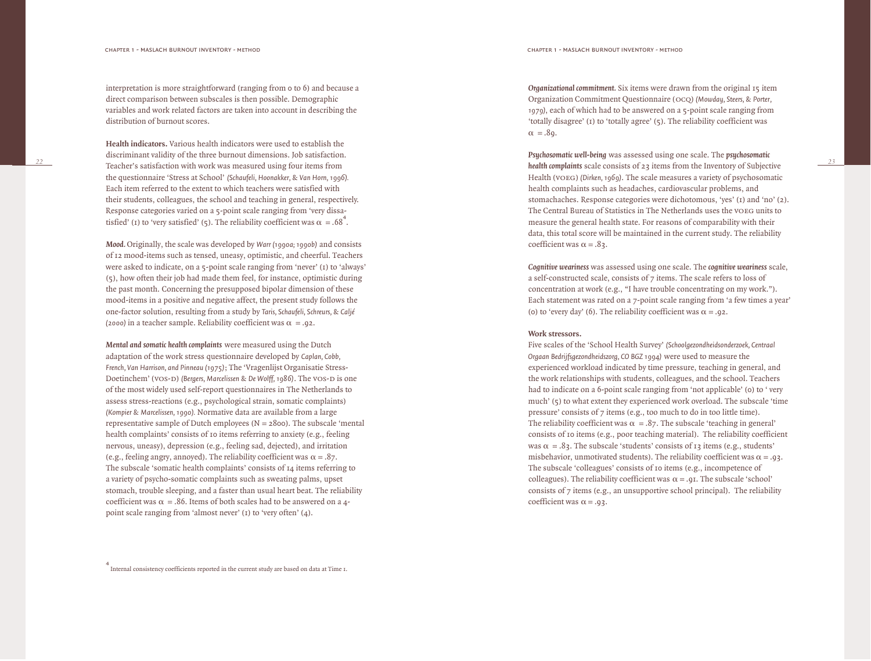interpretation is more straightforward (ranging from 0 to 6) and because a direct comparison between subscales is then possible. Demographic variables and work related factors are taken into account in describing the distribution of burnout scores.

**Health indicators.** Various health indicators were used to establish the discriminant validity of the three burnout dimensions. Job satisfaction. Teacher's satisfaction with work was measured using four items from the questionnaire 'Stress at School' *(Schaufeli, Hoonakker, & Van Horn, 1996).* Each item referred to the extent to which teachers were satisfied with their students, colleagues, the school and teaching in general, respectively. Response categories varied on a 5-point scale ranging from 'very dissatisfied' (1) to 'very satisfied' (5). The reliability coefficient was  $\alpha = .68^4$ .

*Mood.* Originally, the scale was developed by *Warr (1990a; 1990b)* and consists of 12 mood-items such as tensed, uneasy, optimistic, and cheerful. Teachers were asked to indicate, on a 5-point scale ranging from 'never' (1) to 'always' (5), how often their job had made them feel, for instance, optimistic during the past month. Concerning the presupposed bipolar dimension of these mood-items in a positive and negative affect, the present study follows the one-factor solution, resulting from a study by *Taris, Schaufeli, Schreurs, & Caljé* (2000) in a teacher sample. Reliability coefficient was  $\alpha = .92$ .

*Mental and somatic health complaints* were measured using the Dutch adaptation of the work stress questionnaire developed by *Caplan, Cobb, French, Van Harrison, and Pinneau (1975)*; The 'Vragenlijst Organisatie Stress-Doetinchem' (vos-D) *(Bergers, Marcelissen & De Wolff, 1986*). The vos-D is one of the most widely used self-report questionnaires in The Netherlands to assess stress-reactions (e.g., psychological strain, somatic complaints) *(Kompier & Marcelissen, 1990).* Normative data are available from a large representative sample of Dutch employees ( $N = 2800$ ). The subscale 'mental health complaints' consists of 10 items referring to anxiety (e.g., feeling nervous, uneasy), depression (e.g., feeling sad, dejected), and irritation (e.g., feeling angry, annoyed). The reliability coefficient was  $\alpha = .87$ . The subscale 'somatic health complaints' consists of 14 items referring to a variety of psycho-somatic complaints such as sweating palms, upset stomach, trouble sleeping, and a faster than usual heart beat. The reliability coefficient was  $\alpha = 0.86$ . Items of both scales had to be answered on a 4point scale ranging from 'almost never' (1) to 'very often' (4).

*Organizational commitment.* Six items were drawn from the original 15 item Organization Commitment Questionnaire (ocq) *(Mowday, Steers, & Porter, 1979)*, each of which had to be answered on a 5-point scale ranging from 'totally disagree' (1) to 'totally agree' (5). The reliability coefficient was  $\alpha = .8q$ .

*Psychosomatic well-being* was assessed using one scale. The *psychosomatic health complaints* scale consists of 23 items from the Inventory of Subjective Health (voeg) *(Dirken, 1969)*. The scale measures a variety of psychosomatic health complaints such as headaches, cardiovascular problems, and stomachaches. Response categories were dichotomous, 'yes' (1) and 'no' (2). The Central Bureau of Statistics in The Netherlands uses the voeg units to measure the general health state. For reasons of comparability with their data, this total score will be maintained in the current study. The reliability coefficient was  $\alpha = .8$ 3.

*23*

*Cognitive weariness* was assessed using one scale. The *cognitive weariness* scale, a self-constructed scale, consists of 7 items. The scale refers to loss of concentration at work (e.g., "I have trouble concentrating on my work."). Each statement was rated on a 7-point scale ranging from 'a few times a year' (o) to 'every day' (6). The reliability coefficient was  $\alpha = .92$ .

#### **Work stressors.**

Five scales of the 'School Health Survey' *(Schoolgezondheidsonderzoek, Centraal Orgaan Bedrijfsgezondheidszorg, CO BGZ 1994)* were used to measure the experienced workload indicated by time pressure, teaching in general, and the work relationships with students, colleagues, and the school. Teachers had to indicate on a 6-point scale ranging from 'not applicable' (o) to ' very much' (5) to what extent they experienced work overload. The subscale 'time pressure' consists of 7 items (e.g., too much to do in too little time). The reliability coefficient was  $\alpha = 0.87$ . The subscale 'teaching in general' consists of 10 items (e.g., poor teaching material). The reliability coefficient was  $\alpha = .8$ 3. The subscale 'students' consists of 13 items (e.g., students' misbehavior, unmotivated students). The reliability coefficient was  $\alpha = .93$ . The subscale 'colleagues' consists of 10 items (e.g., incompetence of colleagues). The reliability coefficient was  $\alpha = .9$  and  $\alpha$ . The subscale 'school' consists of  $\overline{7}$  items (e.g., an unsupportive school principal). The reliability coefficient was  $\alpha = .93$ .

4 Internal consistency coefficients reported in the current study are based on data at Time 1.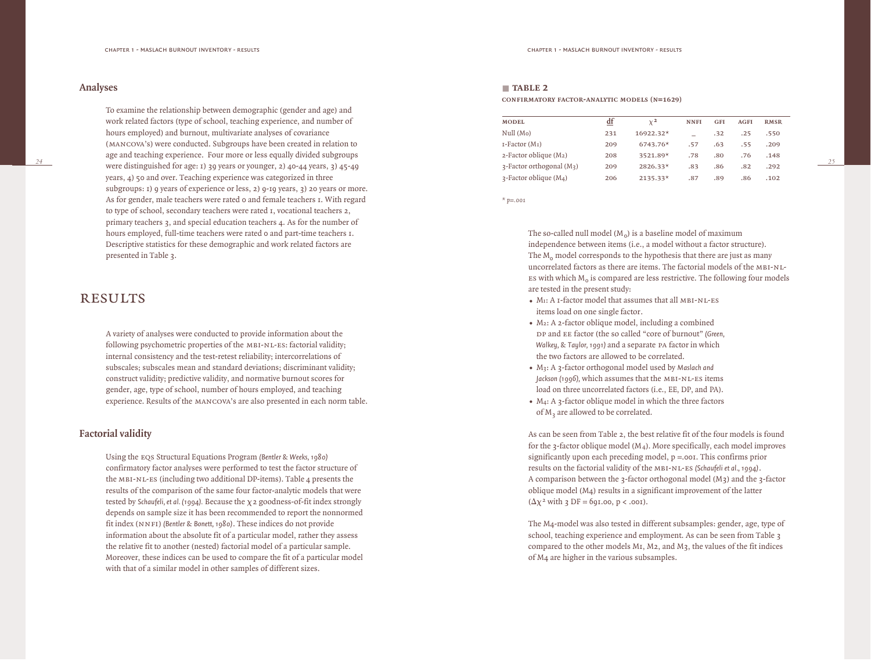### **Analyses**

To examine the relationship between demographic (gender and age) and work related factors (type of school, teaching experience, and number of hours employed) and burnout, multivariate analyses of covariance (mancova's) were conducted. Subgroups have been created in relation to age and teaching experience. Four more or less equally divided subgroups were distinguished for age: 1) 39 years or younger, 2) 40-44 years, 3) 45-49 years, 4) 50 and over. Teaching experience was categorized in three subgroups: 1) 9 years of experience or less, 2) 9-19 years, 3) 20 years or more. As for gender, male teachers were rated 0 and female teachers 1. With regard to type of school, secondary teachers were rated 1, vocational teachers 2, primary teachers 3, and special education teachers 4. As for the number of hours employed, full-time teachers were rated 0 and part-time teachers 1. Descriptive statistics for these demographic and work related factors are presented in Table 3.

# **RESULTS**

A variety of analyses were conducted to provide information about the following psychometric properties of the MBI-NL-ES: factorial validity; internal consistency and the test-retest reliability; intercorrelations of subscales; subscales mean and standard deviations; discriminant validity; construct validity; predictive validity, and normative burnout scores for gender, age, type of school, number of hours employed, and teaching experience. Results of the mancova's are also presented in each norm table.

# **Factorial validity**

Using the eqs Structural Equations Program *(Bentler & Weeks, 1980)* confirmatory factor analyses were performed to test the factor structure of the mbi-nl-es (including two additional DP-items). Table 4 presents the results of the comparison of the same four factor-analytic models that were tested by *Schaufeli, et al. (1994).* Because the  $\chi$  2 goodness-of-fit index strongly depends on sample size it has been recommended to report the nonnormed fit index (NNFI) *(Bentler & Bonett, 1980)*. These indices do not provide information about the absolute fit of a particular model, rather they assess the relative fit to another (nested) factorial model of a particular sample. Moreover, these indices can be used to compare the fit of a particular model with that of a similar model in other samples of different sizes.

#### ■ **table 2**

**CONFIRMATORY FACTOR-ANALYTIC MODELS (N=1629)** 

| <b>MODEL</b>                                  | df  | $\chi^2$    | <b>NNFI</b> | <b>GFI</b> | <b>AGFI</b> | <b>RMSR</b> |
|-----------------------------------------------|-----|-------------|-------------|------------|-------------|-------------|
| Null(M <sub>o</sub> )                         | 231 | $16922.32*$ |             | .32        | .25         | .550        |
| $I-Factor(MI)$                                | 209 | $6743.76*$  | .57         | .63        | .55         | .209        |
| $2$ -Factor oblique (M <sub>2</sub> )         | 208 | 3521.89*    | .78         | .80        | .76         | .148        |
| $\alpha$ -Factor orthogonal (M <sub>3</sub> ) | 209 | $2826.33*$  | .83         | .86        | .82         | .292        |
| $\lambda$ -Factor oblique (M <sub>4</sub> )   | 206 | $2135.33*$  | .87         | .89        | .86         | .102        |

*\* p=.001*

The so-called null model  $(M_o)$  is a baseline model of maximum independence between items (i.e., a model without a factor structure). The  $M<sub>o</sub>$  model corresponds to the hypothesis that there are just as many uncorrelated factors as there are items. The factorial models of the MBI-NL-ES with which  $M_0$  is compared are less restrictive. The following four models are tested in the present study:

- Mr: A 1-factor model that assumes that all MBI-NL-ES items load on one single factor.
- *•* <sup>M</sup>2: A 2-factor oblique model, including a combined DP and EE factor (the so called "core of burnout" *(Green, Walkey, & Taylor, 1991)* and a separate pa factor in which the two factors are allowed to be correlated.
- *•* <sup>M</sup>3: A 3-factor orthogonal model used by *Maslach and Jackson (1996),* which assumes that the mbi-nl-es items load on three uncorrelated factors (i.e., EE, DP, and PA).
- *•* <sup>M</sup>4: A 3-factor oblique model in which the three factors of M<sub>3</sub> are allowed to be correlated.

As can be seen from Table 2, the best relative fit of the four models is found for the 3-factor oblique model  $(M_4)$ . More specifically, each model improves significantly upon each preceding model,  $p = .001$ . This confirms prior results on the factorial validity of the mbi-nl-es *(Schaufeli et al., 1994)*. A comparison between the  $\alpha$ -factor orthogonal model (M $\alpha$ ) and the  $\alpha$ -factor oblique model (M4) results in a significant improvement of the latter  $(\Delta \chi^2$  with 3 DF = 691.00, p < .001).

The M4-model was also tested in different subsamples: gender, age, type of school, teaching experience and employment. As can be seen from Table 3 compared to the other models M1, M2, and M3, the values of the fit indices of M4 are higher in the various subsamples.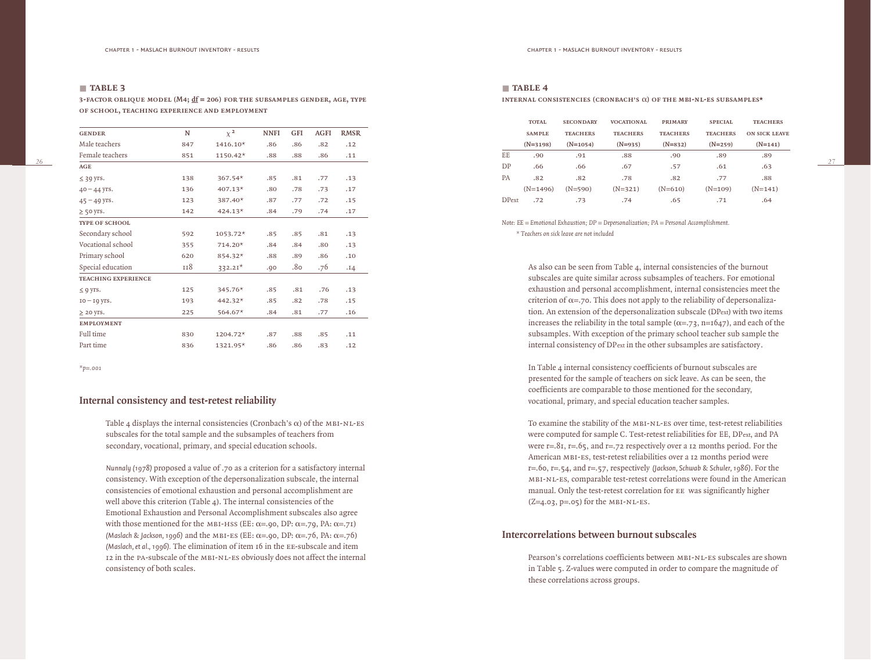*26*

**3-FACTOR OBLIQUE MODEL (M4;**  $\underline{df}$  **= 206) FOR THE SUBSAMPLES GENDER, AGE, TYPE of school, teaching experience and employment**

| <b>GENDER</b>              | N   | $\chi^2$  | <b>NNFI</b> | <b>GFI</b> | <b>AGFI</b> | <b>RMSR</b> |
|----------------------------|-----|-----------|-------------|------------|-------------|-------------|
| Male teachers              | 847 | 1416.10*  | .86         | .86        | .82         | .12         |
| Female teachers            | 851 | 1150.42*  | .88         | .88        | .86         | .11         |
| <b>AGE</b>                 |     |           |             |            |             |             |
| $\leq$ 39 yrs.             | 138 | 367.54*   | .85         | .81        | .77         | .13         |
| $40 - 44$ yrs.             | 136 | $407.13*$ | .80         | .78        | .73         | .17         |
| $45 - 49$ yrs.             | 123 | 387.40*   | .87         | .77        | .72         | .15         |
| $\geq$ 50 yrs.             | 142 | $424.13*$ | .84         | .79        | .74         | .17         |
| <b>TYPE OF SCHOOL</b>      |     |           |             |            |             |             |
| Secondary school           | 592 | 1053.72*  | .85         | .85        | .81         | .13         |
| Vocational school          | 355 | 714.20*   | .84         | .84        | .80         | .13         |
| Primary school             | 620 | 854.32*   | .88         | .89        | .86         | .10         |
| Special education          | 118 | $332.21*$ | .00.        | .8٥        | .76         | .14         |
| <b>TEACHING EXPERIENCE</b> |     |           |             |            |             |             |
| $\leq$ 9 yrs.              | 125 | 345.76*   | .85         | .81        | .76         | .13         |
| $IO - IQ VIS.$             | 193 | $442.32*$ | .85         | .82        | .78         | .15         |
| $\geq$ 20 yrs.             | 225 | 564.67*   | .84         | .81        | .77         | .16         |
| <b>EMPLOYMENT</b>          |     |           |             |            |             |             |
| Full time                  | 830 | 1204.72*  | .87         | .88        | .85         | .11         |
| Part time                  | 836 | 1321.95*  | .86         | .86        | .83         | .12         |
|                            |     |           |             |            |             |             |

*\*p=.001*

# **Internal consistency and test-retest reliability**

Table 4 displays the internal consistencies (Cronbach's  $\alpha$ ) of the MBI-NL-ES subscales for the total sample and the subsamples of teachers from secondary, vocational, primary, and special education schools.

*Nunnaly (1978)* proposed a value of .70 as a criterion for a satisfactory internal consistency. With exception of the depersonalization subscale, the internal consistencies of emotional exhaustion and personal accomplishment are well above this criterion (Table 4). The internal consistencies of the Emotional Exhaustion and Personal Accomplishment subscales also agree with those mentioned for the MBI-HSS (EE:  $\alpha = .90$ , DP:  $\alpha = .70$ , PA:  $\alpha = .71$ ) *(Maslach & Jackson, 1996)* and the MBI-ES (EE:  $\alpha = .90$ , DP:  $\alpha = .76$ , PA:  $\alpha = .76$ ) *(Maslach, et al., 1996).* The elimination of item 16 in the EE-subscale and item 12 in the pa-subscale of the mbi-nl-es obviously does not affect the internal consistency of both scales.

#### ■ **table 4**

#### **internal consistencies (cronbach's** a**) of the mbi-nl-es subsamples\***

|              | <b>TOTAL</b>  | <b>SECONDARY</b> | <b>VOCATIONAL</b> | <b>PRIMARY</b>  | <b>SPECIAL</b>  | <b>TEACHERS</b>      |
|--------------|---------------|------------------|-------------------|-----------------|-----------------|----------------------|
|              | <b>SAMPLE</b> | <b>TEACHERS</b>  | <b>TEACHERS</b>   | <b>TEACHERS</b> | <b>TEACHERS</b> | <b>ON SICK LEAVE</b> |
|              | $(N=3198)$    | $(N=1054)$       | $(N=935)$         | $(N=832)$       | $(N=259)$       | $(N=141)$            |
| EE           | .90           | .91              | .88               | .90             | .89             | .89                  |
| DP           | .66           | .66              | .67               | .57             | .61             | .63                  |
| <b>PA</b>    | .82           | .82              | .78               | .82             | .77             | .88                  |
|              | $(N=1496)$    | $(N=590)$        | $(N=321)$         | $(N=610)$       | $(N=109)$       | $(N=141)$            |
| <b>DPext</b> | .72           | .73              | .74               | .65             | .71             | .64                  |

*Note: EE = Emotional Exhaustion; DP = Depersonalization; PA = Personal Accomplishment. \* Teachers on sick leave are not included*

> As also can be seen from Table 4, internal consistencies of the burnout subscales are quite similar across subsamples of teachers. For emotional exhaustion and personal accomplishment, internal consistencies meet the criterion of  $\alpha$ =.70. This does not apply to the reliability of depersonalization. An extension of the depersonalization subscale (DPext) with two items increases the reliability in the total sample  $(\alpha = 73, n=1647)$ , and each of the subsamples. With exception of the primary school teacher sub sample the internal consistency of DPext in the other subsamples are satisfactory.

In Table 4 internal consistency coefficients of burnout subscales are presented for the sample of teachers on sick leave. As can be seen, the coefficients are comparable to those mentioned for the secondary, vocational, primary, and special education teacher samples.

To examine the stability of the MBI-NL-ES over time, test-retest reliabilities were computed for sample C. Test-retest reliabilities for EE, DPext, and PA were  $r=.8r, r=.65, and r=.72$  respectively over a 12 months period. For the American mbi-es, test-retest reliabilities over a 12 months period were r=.60, r=.54, and r=.57, respectively *(Jackson, Schwab & Schuler, 1986)*. For the mbi-nl-es, comparable test-retest correlations were found in the American manual. Only the test-retest correlation for ee was significantly higher  $(Z=4.03, p=.05)$  for the MBI-NL-ES.

# **Intercorrelations between burnout subscales**

Pearson's correlations coefficients between mbi-nl-es subscales are shown in Table 5. Z-values were computed in order to compare the magnitude of these correlations across groups.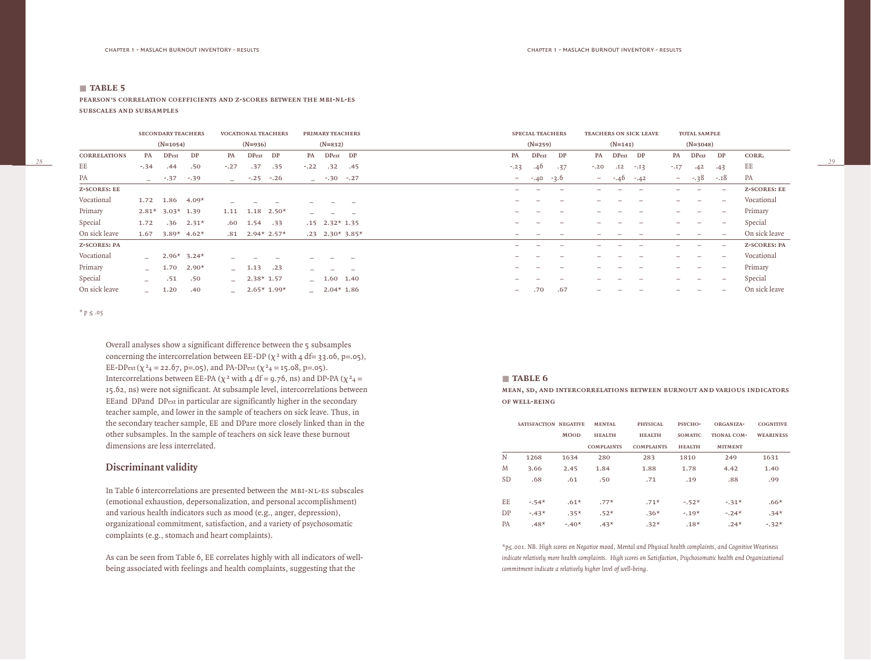*28*

**pearson's correlation coefficients and z-scores between the mbi-nl-es subscales and subsamples**

|                     |                          | <b>SECONDARY TEACHERS</b> |                           |                          |              | <b>VOCATIONAL TEACHERS</b> |        | PRIMARY TEACHERS   |                   |                          | <b>SPECIAL TEACHERS</b> |                          |        |              | <b>TEACHERS ON SICK LEAVE</b> |                          | <b>TOTAL SAMPLE</b>             |                          |                     |
|---------------------|--------------------------|---------------------------|---------------------------|--------------------------|--------------|----------------------------|--------|--------------------|-------------------|--------------------------|-------------------------|--------------------------|--------|--------------|-------------------------------|--------------------------|---------------------------------|--------------------------|---------------------|
|                     |                          | $(N=1054)$                |                           |                          | $(N=936)$    |                            |        | $(N=832)$          |                   |                          | $(N=259)$               |                          |        | $(N=141)$    |                               |                          | $(N=3048)$                      |                          |                     |
| <b>CORRELATIONS</b> | PA                       | <b>DPext</b>              | DP                        | PA                       | DPext DP     |                            | PA     | DPext DP           |                   | PA                       | <b>DPext</b>            | DP                       | PA     | <b>DPext</b> | DP                            | PA                       | <b>DPext</b>                    | DP                       | CORR.               |
| EE                  | $-.34$                   | .44                       | .50                       | $-.27$                   | .37          | .35                        | $-.22$ | .32                | .45               | $-.23$                   | .40                     | .37                      | $-.20$ | .12          | $-.13$                        | $-.17$                   | .42                             | .43                      | EE                  |
| PA                  | $\sim$                   | $-.37$                    | $-.39$                    |                          | $-$ -.25     | $-.26$                     |        | $-$ -.30 -.27      |                   | $\sim$                   | $-40 -3.0$              |                          |        | $--.40$      | $-42$                         | $\sim$ 100 $\mu$         | $-.38$                          | $-.18$                   | PA                  |
| <b>Z-SCORES: EE</b> |                          |                           |                           |                          |              |                            |        |                    |                   |                          |                         | $\overline{\phantom{a}}$ |        |              |                               |                          | $\overline{\phantom{0}}$        | $\overline{\phantom{0}}$ | <b>Z-SCORES: EE</b> |
| Vocational          | 1.72                     | 1.86                      | $4.09*$                   |                          |              |                            |        |                    |                   |                          |                         |                          |        |              |                               |                          | $\overline{\phantom{0}}$        |                          | Vocational          |
| Primary             | $2.81*$                  | $3.03*$ 1.39              |                           | 1.11                     | 1.18         | $2.50*$                    |        |                    |                   |                          |                         | $\overline{\phantom{a}}$ | -      |              |                               |                          | $\overline{\phantom{0}}$        | $\overline{\phantom{0}}$ | Primary             |
| Special             | 1.72                     | .36                       | $2.31*$                   | .60                      | 1.54         | .33                        |        | $.15$ $2.32*$ 1.35 |                   |                          |                         | $\overline{\phantom{0}}$ |        |              |                               | $\overline{\phantom{0}}$ | $\overline{\phantom{a}}$        | $\overline{\phantom{0}}$ | Special             |
| On sick leave       | 1.67                     |                           | 3.89* $4.62*$             |                          |              | $.81 \quad 2.94* \; 2.57*$ |        |                    | $.23$ 2.30* 3.85* |                          |                         |                          |        |              |                               |                          | $\overline{\phantom{m}}$        |                          | On sick leave       |
| <b>Z-SCORES: PA</b> |                          |                           |                           |                          |              |                            |        |                    |                   | -                        |                         | $\overline{\phantom{a}}$ | —      |              |                               |                          |                                 | $\overline{\phantom{0}}$ | <b>Z-SCORES: PA</b> |
| Vocational          | $\sim$                   |                           | $2.96*$ 3.24 <sup>*</sup> |                          |              |                            |        |                    |                   |                          |                         |                          |        |              |                               |                          | $\overline{\phantom{0}}$        |                          | Vocational          |
| Primary             | $\overline{\phantom{0}}$ | 1.70                      | $2.90*$                   |                          | $-1.13$      | .23                        |        |                    |                   |                          |                         | $\overline{\phantom{a}}$ | —      |              |                               | $\overline{\phantom{0}}$ | $\overline{\phantom{0}}$        |                          | Primary             |
| Special             | $\equiv$                 | .51                       | .50                       | $\equiv$                 | $2.38*$ 1.57 |                            |        | $-1.60$ 1.40       |                   |                          |                         |                          |        |              |                               |                          | $\hspace{0.1mm}-\hspace{0.1mm}$ | $\overline{\phantom{0}}$ | Special             |
| On sick leave       | $-$                      | 1.20                      | .40                       | $\overline{\phantom{0}}$ |              | $2.65*1.99*$               |        | $-2.04*1.86$       |                   | $\overline{\phantom{0}}$ | .70                     | .67                      | -      |              |                               |                          |                                 | $\overline{\phantom{0}}$ | On sick leave       |

*\* p ≤ .05* 

Overall analyses show a significant difference between the 5 subsamples concerning the intercorrelation between EE-DP ( $\chi^2$  with 4 df= 33.06, p=.05), EE-DPext ( $\chi^2$ 4 = 22.67, p=.05), and PA-DPext ( $\chi^2$ 4 = 15.08, p=.05). Intercorrelations between EE-PA ( $\chi^2$  with 4 df = 9.76, ns) and DP-PA ( $\chi^2$ 4 = 15.62, ns) were not significant. At subsample level, intercorrelations between EEand DPand DPext in particular are significantly higher in the secondary teacher sample, and lower in the sample of teachers on sick leave. Thus, in the secondary teacher sample, EE and DPare more closely linked than in the other subsamples. In the sample of teachers on sick leave these burnout dimensions are less interrelated.

# **Discriminant validity**

In Table 6 intercorrelations are presented between the MBI-NL-ES subscales (emotional exhaustion, depersonalization, and personal accomplishment) and various health indicators such as mood (e.g., anger, depression), organizational commitment, satisfaction, and a variety of psychosomatic complaints (e.g., stomach and heart complaints).

As can be seen from Table 6, EE correlates highly with all indicators of wellbeing associated with feelings and health complaints, suggesting that the

#### ■ **table 6**

**MEAN, SD, AND INTERCORRELATIONS BETWEEN BURNOUT AND VARIOUS INDICATORS of well-being**

|           | SATISFACTION NEGATIVE |             | <b>MENTAL</b>     | <b>PHYSICAL</b>   | PSYCHO-        | ORGANIZA-      | <b>COGNITIVE</b> |
|-----------|-----------------------|-------------|-------------------|-------------------|----------------|----------------|------------------|
|           |                       | <b>MOOD</b> | <b>HEALTH</b>     | <b>HEALTH</b>     | <b>SOMATIC</b> | TIONAL COM-    | <b>WEARINESS</b> |
|           |                       |             | <b>COMPLAINTS</b> | <b>COMPLAINTS</b> | <b>HEALTH</b>  | <b>MITMENT</b> |                  |
| N         | 1268                  | 1634        | 280               | 283               | 1810           | 249            | 1631             |
| M         | 3.66                  | 2.45        | 1.84              | 1.88              | 1.78           | 4.42           | 1.40             |
| <b>SD</b> | .68                   | .61         | .50               | .71               | .19            | .88            | .99              |
|           |                       |             |                   |                   |                |                |                  |
| EE        | $-54*$                | $.61*$      | $.77*$            | $.71*$            | $-52*$         | $-31*$         | $.66*$           |
| DP        | $-43*$                | $.35*$      | $.52*$            | $.36*$            | $-.19*$        | $-.24*$        | $.34*$           |
| <b>PA</b> | $.48*$                | $-.40*$     | $.43*$            | $.32*$            | $.18*$         | $.24*$         | $-32*$           |

*\*p≤.001. NB. High scores on Negative mood, Mental and Physical health complaints, and Cognitive Weariness indicate relatively more health complaints. High scores on Satisfaction, Psychosomatic health and Organizational commitment indicate a relatively higher level of well-being.*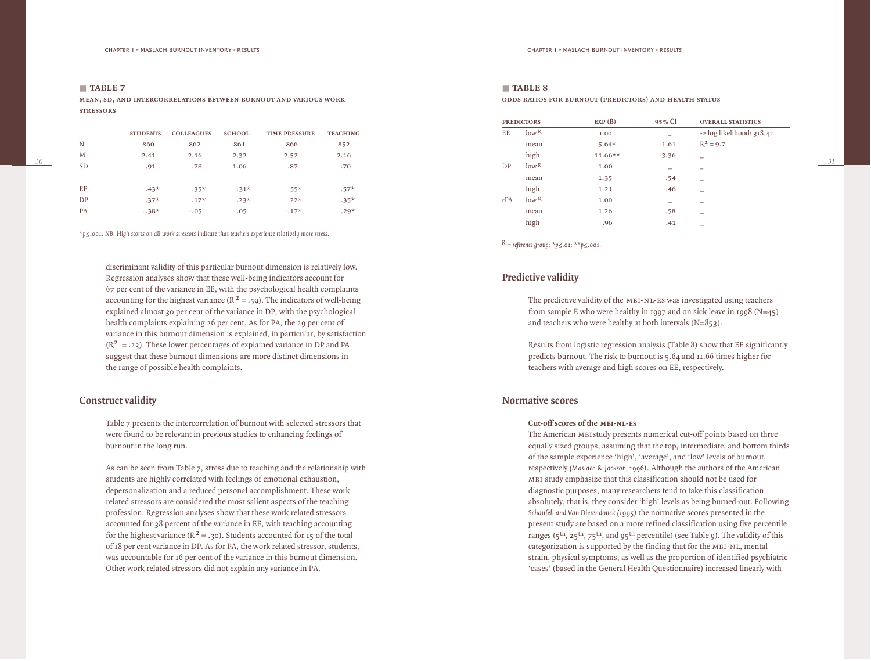*30*

**mean, sd, and intercorrelations between burnout and various work sTRESSORS** 

|           | <b>STUDENTS</b> | <b>COLLEAGUES</b> | <b>SCHOOL</b> | <b>TIME PRESSURE</b> | <b>TEACHING</b> |
|-----------|-----------------|-------------------|---------------|----------------------|-----------------|
| N         | 860             | 862               | 861           | 866                  | 852             |
| M         | 2.41            | 2.16              | 2.32          | 2.52                 | 2.16            |
| <b>SD</b> | .91             | .78               | 1.06          | .87                  | .70             |
|           |                 |                   |               |                      |                 |
| EE        | $.43*$          | $.35*$            | $.31*$        | $.55*$               | $.57*$          |
| DP        | $.37*$          | $.17*$            | $.23*$        | $.22*$               | $.35*$          |
| <b>PA</b> | $-38*$          | $-.05$            | $-.05$        | $-.17*$              | $-.29*$         |

*\*p≤.001. NB. High scores on all work stressors indicate that teachers experience relatively more stress.*

discriminant validity of this particular burnout dimension is relatively low. Regression analyses show that these well-being indicators account for 67 per cent of the variance in EE, with the psychological health complaints accounting for the highest variance ( $R^2 = .59$ ). The indicators of well-being explained almost 30 per cent of the variance in DP, with the psychological health complaints explaining 26 per cent. As for PA, the 29 per cent of variance in this burnout dimension is explained, in particular, by satisfaction  $(R^2 = .23)$ . These lower percentages of explained variance in DP and PA suggest that these burnout dimensions are more distinct dimensions in the range of possible health complaints.

# **Construct validity**

Table 7 presents the intercorrelation of burnout with selected stressors that were found to be relevant in previous studies to enhancing feelings of burnout in the long run.

As can be seen from Table 7, stress due to teaching and the relationship with students are highly correlated with feelings of emotional exhaustion, depersonalization and a reduced personal accomplishment. These work related stressors are considered the most salient aspects of the teaching profession. Regression analyses show that these work related stressors accounted for 38 percent of the variance in EE, with teaching accounting for the highest variance ( $R^2 = .30$ ). Students accounted for 15 of the total of 18 per cent variance in DP. As for PA, the work related stressor, students, was accountable for 16 per cent of the variance in this burnout dimension. Other work related stressors did not explain any variance in PA.

# ■ **table 8**

**ODDS RATIOS FOR BURNOUT (PREDICTORS) AND HEALTH STATUS** 

|     | <b>PREDICTORS</b> | EXP(B)     | 95% CI | <b>OVERALL STATISTICS</b> |
|-----|-------------------|------------|--------|---------------------------|
| EE  | low <sup>R</sup>  | I.00       |        | -2 log likelihood: 318.42 |
|     | mean              | $5.64*$    | 1.61   | $R^2 = 9.7$               |
|     | high              | $11.66***$ | 3.36   |                           |
| DP  | low <sup>R</sup>  | 1.00       |        |                           |
|     | mean              | 1.35       | .54    |                           |
|     | high              | 1.21       | .46    |                           |
| rPA | low <sup>R</sup>  | 1.00       |        |                           |
|     | mean              | 1.26       | .58    |                           |
|     | high              | .96        | .41    |                           |

*R = reference group; \*p≤.01; \*\*p≤.001.* 

# **Predictive validity**

The predictive validity of the mbi-nl-es was investigated using teachers from sample E who were healthy in 1997 and on sick leave in 1998 (N=45) and teachers who were healthy at both intervals (N=853).

Results from logistic regression analysis (Table 8) show that EE significantly predicts burnout. The risk to burnout is 5.64 and 11.66 times higher for teachers with average and high scores on EE, respectively.

# **Normative scores**

#### **Cut-off scores of the mbi-nl-es**

The American mbistudy presents numerical cut-off points based on three equally sized groups, assuming that the top, intermediate, and bottom thirds of the sample experience 'high', 'average', and 'low' levels of burnout, respectively *(Maslach & Jackson, 1996)*. Although the authors of the American mbi study emphasize that this classification should not be used for diagnostic purposes, many researchers tend to take this classification absolutely, that is, they consider 'high' levels as being burned-out. Following *Schaufeli and Van Dierendonck (1995)* the normative scores presented in the present study are based on a more refined classification using five percentile ranges ( $5^{th}$ ,  $25^{th}$ ,  $75^{th}$ , and  $95^{th}$  percentile) (see Table 9). The validity of this categorization is supported by the finding that for the MBI-NL, mental strain, physical symptoms, as well as the proportion of identified psychiatric 'cases' (based in the General Health Questionnaire) increased linearly with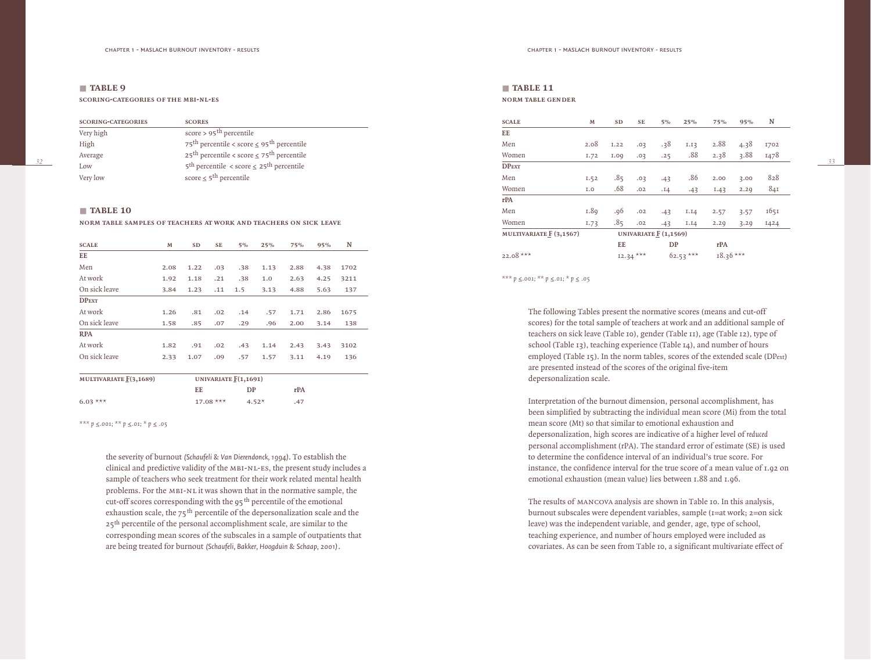*32*

**SCORING-CATEGORIES OF THE MBI-NL-ES** 

| <b>SCORING-CATEGORIES</b> | <b>SCORES</b>                                                          |
|---------------------------|------------------------------------------------------------------------|
| Very high                 | score > $95th$ percentile                                              |
| High                      | 75 <sup>th</sup> percentile < score $\leq$ 95 <sup>th</sup> percentile |
| Average                   | 25 <sup>th</sup> percentile < score $\leq$ 75 <sup>th</sup> percentile |
| Low                       | $5^{\text{th}}$ percentile < score $\leq 25^{\text{th}}$ percentile    |
| Very low                  | score $\leq$ 5 <sup>th</sup> percentile                                |

#### ■ **table 10**

#### **NORM TABLE SAMPLES OF TEACHERS AT WORK AND TEACHERS ON SICK LEAVE**

| <b>SCALE</b>  | M    | <b>SD</b> | <b>SE</b> | 5%  | 25%  | 75%  | 95%  | N    |  |
|---------------|------|-----------|-----------|-----|------|------|------|------|--|
| EE            |      |           |           |     |      |      |      |      |  |
| Men           | 2.08 | 1.22      | .03       | .38 | 1.13 | 2.88 | 4.38 | 1702 |  |
| At work       | 1.92 | 1.18      | .21       | .38 | 1.0  | 2.63 | 4.25 | 3211 |  |
| On sick leave | 3.84 | 1.23      | .11       | 1.5 | 3.13 | 4.88 | 5.63 | 137  |  |
| <b>DPEXT</b>  |      |           |           |     |      |      |      |      |  |
| At work       | 1.26 | .81       | .02       | .14 | .57  | 1.71 | 2.86 | 1675 |  |
| On sick leave | 1.58 | .85       | .07       | .29 | .96  | 2.00 | 3.14 | 138  |  |
| <b>RPA</b>    |      |           |           |     |      |      |      |      |  |
| At work       | 1.82 | .91       | .02       | .43 | 1.14 | 2.43 | 3.43 | 3102 |  |
| On sick leave | 2.33 | 1.07      | .09       | .57 | 1.57 | 3.11 | 4.19 | 136  |  |

| MULTIVARIATE $\underline{F}(3,1689)$ | UNIVARIATE $F(1,1691)$ |         |     |
|--------------------------------------|------------------------|---------|-----|
|                                      | EE                     | DP      | rPA |
| $6.03***$                            | $17.08***$             | $4.52*$ | .47 |

*\*\*\* p ≤.001; \*\* p ≤.01; \* p ≤ .05*

the severity of burnout *(Schaufeli & Van Dierendonck, 1994)*. To establish the clinical and predictive validity of the MBI-NL-ES, the present study includes a sample of teachers who seek treatment for their work related mental health problems. For the MBI-NL it was shown that in the normative sample, the cut-off scores corresponding with the  $95<sup>th</sup>$  percentile of the emotional exhaustion scale, the  $75<sup>th</sup>$  percentile of the depersonalization scale and the 25<sup>th</sup> percentile of the personal accomplishment scale, are similar to the corresponding mean scores of the subscales in a sample of outpatients that are being treated for burnout *(Schaufeli, Bakker, Hoogduin & Schaap, 2001)*.

#### ■ **table 11 norm table gender**

| <b>SCALE</b>            | M                | SD   | SE         | $5\%$                 | 25%        | <b>75%</b> | 95%  | N    |
|-------------------------|------------------|------|------------|-----------------------|------------|------------|------|------|
| EE                      |                  |      |            |                       |            |            |      |      |
| Men                     | 2.08             | I.22 | .03        | .38                   | I.I3       | 2.88       | 4.38 | 1702 |
| Women                   | I.72             | I.00 | .03        | .25                   | .88        | 2.38       | 3.88 | 1478 |
| <b>DPEXT</b>            |                  |      |            |                       |            |            |      |      |
| Men                     | I.52             | .85  | .03        | .43                   | .86        | 2.00       | 3.00 | 828  |
| Women                   | I.O              | .68  | .02        | .14                   | .43        | 1.43       | 2.29 | 84I  |
| rPA                     |                  |      |            |                       |            |            |      |      |
| Men                     | 1.8 <sub>9</sub> | .96  | .02        | .43                   | I.I4       | 2.57       | 3.57 | 1651 |
| Women                   | 1.73             | .85  | .02        | .43                   | I.I4       | 2.29       | 3.29 | 1424 |
| MULTIVARIATE F (3,1567) |                  |      |            | UNIVARIATE F (1,1569) |            |            |      |      |
|                         |                  | EE   |            | DP                    |            | rPA        |      |      |
| 22.08 ***               |                  |      | $12.34***$ |                       | $62.53***$ | $18.36***$ |      |      |

*\*\*\* p ≤.001; \*\* p ≤.01; \* p ≤ .05*

The following Tables present the normative scores (means and cut-off scores) for the total sample of teachers at work and an additional sample of teachers on sick leave (Table 10), gender (Table 11), age (Table 12), type of school (Table 13), teaching experience (Table 14), and number of hours employed (Table 15). In the norm tables, scores of the extended scale (DPext) are presented instead of the scores of the original five-item depersonalization scale.

Interpretation of the burnout dimension, personal accomplishment, has been simplified by subtracting the individual mean score (Mi) from the total mean score (Mt) so that similar to emotional exhaustion and depersonalization, high scores are indicative of a higher level of *reduced* personal accomplishment (rPA). The standard error of estimate (SE) is used to determine the confidence interval of an individual's true score. For instance, the confidence interval for the true score of a mean value of 1.92 on emotional exhaustion (mean value) lies between 1.88 and 1.96.

The results of mancova analysis are shown in Table 10. In this analysis, burnout subscales were dependent variables, sample (1=at work; 2=on sick leave) was the independent variable, and gender, age, type of school, teaching experience, and number of hours employed were included as covariates. As can be seen from Table 10, a significant multivariate effect of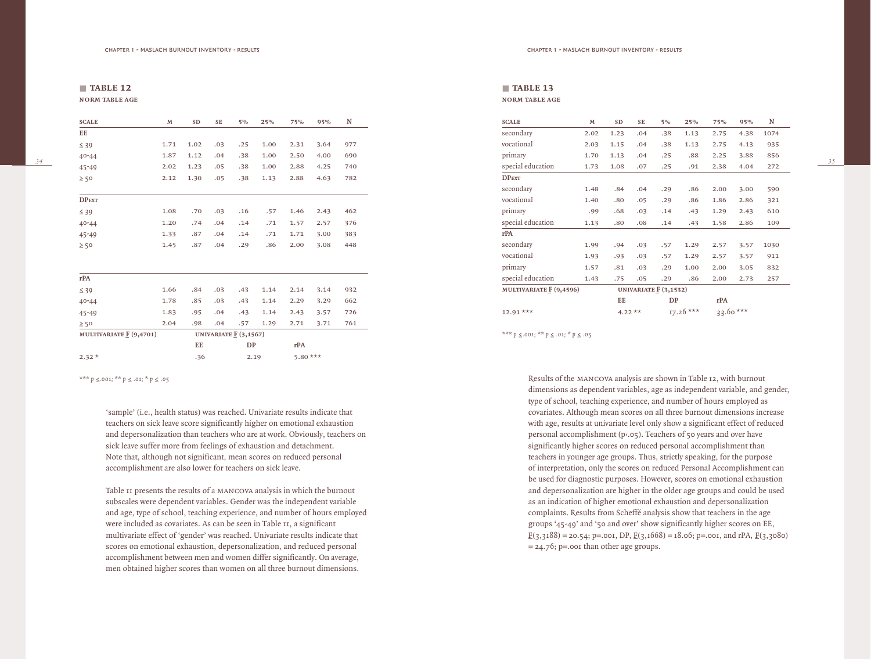| and the control of |  |
|--------------------|--|
|--------------------|--|

**norm table age**

| <b>SCALE</b>             | $\mathbf M$ | SD   | <b>SE</b> | $5\%$                  | 25%  | <b>75%</b> | 95%  | N   |
|--------------------------|-------------|------|-----------|------------------------|------|------------|------|-----|
| EE                       |             |      |           |                        |      |            |      |     |
| $\leq 39$                | 1.71        | 1.02 | .03       | .25                    | 1.00 | 2.31       | 3.64 | 977 |
| $40 - 44$                | 1.87        | 1.12 | .04       | .38                    | 1.00 | 2.50       | 4.00 | 690 |
| 45-49                    | 2.02        | 1.23 | .05       | .38                    | 1.00 | 2.88       | 4.25 | 740 |
| $\geq 50$                | 2.12        | 1.30 | .05       | .38                    | 1.13 | 2.88       | 4.63 | 782 |
| <b>DPEXT</b>             |             |      |           |                        |      |            |      |     |
| $\leq 39$                | 1.08        | .70  | .03       | .16                    | .57  | 1.46       | 2.43 | 462 |
| $40 - 44$                | 1.20        | .74  | .04       | .14                    | .71  | 1.57       | 2.57 | 376 |
| $45 - 49$                | 1.33        | .87  | .04       | .14                    | .71  | 1.71       | 3.00 | 383 |
| $\geq 50$                | 1.45        | .87  | .04       | .29                    | .86  | 2.00       | 3.08 | 448 |
| rPA                      |             |      |           |                        |      |            |      |     |
| $\leq 39$                | 1.66        | .84  | .03       | .43                    | 1.14 | 2.14       | 3.14 | 932 |
| $40 - 44$                | 1.78        | .85  | .03       | .43                    | 1.14 | 2.29       | 3.29 | 662 |
| 45-49                    | 1.83        | .95  | .04       | .43                    | 1.14 | 2.43       | 3.57 | 726 |
| $\geq 50$                | 2.04        | .98  | .04       | .57                    | 1.29 | 2.71       | 3.71 | 761 |
| MULTIVARIATE $F(9,4701)$ |             |      |           | UNIVARIATE $E(3,1567)$ |      |            |      |     |
|                          |             | EE   |           | DP                     |      | rPA        |      |     |
| $2.32*$                  |             | .36  |           | 2.19                   |      | 5.80 ***   |      |     |

*\*\*\* p ≤.001; \*\* p ≤ .01; \* p ≤ .05* 

'sample' (i.e., health status) was reached. Univariate results indicate that teachers on sick leave score significantly higher on emotional exhaustion and depersonalization than teachers who are at work. Obviously, teachers on sick leave suffer more from feelings of exhaustion and detachment. Note that, although not significant, mean scores on reduced personal accomplishment are also lower for teachers on sick leave.

Table 11 presents the results of a mancova analysis in which the burnout subscales were dependent variables. Gender was the independent variable and age, type of school, teaching experience, and number of hours employed were included as covariates. As can be seen in Table 11, a significant multivariate effect of 'gender' was reached. Univariate results indicate that scores on emotional exhaustion, depersonalization, and reduced personal accomplishment between men and women differ significantly. On average, men obtained higher scores than women on all three burnout dimensions.

#### ■ **table 13 norm table age**

| <b>SCALE</b>            | M    | <b>SD</b>              | SE  | $5\%$ | 25%         | 75%       | 95%  | N    |  |
|-------------------------|------|------------------------|-----|-------|-------------|-----------|------|------|--|
|                         |      |                        |     |       |             |           |      |      |  |
| secondary               | 2.02 | 1.23                   | .04 | .38   | 1.13        | 2.75      | 4.38 | 1074 |  |
| vocational              | 2.03 | 1.15                   | .04 | .38   | 1.13        | 2.75      | 4.13 | 935  |  |
| primary                 | 1.70 | 1.13                   | .04 | .25   | .88         | 2.25      | 3.88 | 856  |  |
| special education       | 1.73 | 1.08                   | .07 | .25   | .91         | 2.38      | 4.04 | 272  |  |
| <b>DPEXT</b>            |      |                        |     |       |             |           |      |      |  |
| secondary               | 1.48 | .84                    | .04 | .29   | .86         | 2.00      | 3.00 | 590  |  |
| vocational              | 1.40 | .80                    | .05 | .29   | .86         | 1.86      | 2.86 | 321  |  |
| primary                 | .99  | .68                    | .03 | .14   | .43         | 1.29      | 2.43 | 610  |  |
| special education       | 1.13 | .80                    | .08 | .14   | .43         | 1.58      | 2.86 | 109  |  |
| rPA                     |      |                        |     |       |             |           |      |      |  |
| secondary               | 1.99 | .94                    | .03 | .57   | 1.29        | 2.57      | 3.57 | 1030 |  |
| vocational              | 1.93 | .93                    | .03 | .57   | 1.29        | 2.57      | 3.57 | 911  |  |
| primary                 | 1.57 | .81                    | .03 | .29   | 1.00        | 2.00      | 3.05 | 832  |  |
| special education       | 1.43 | .75                    | .05 | .29   | .86         | 2.00      | 2.73 | 257  |  |
| MULTIVARIATE F (9,4596) |      | UNIVARIATE $F(3,1532)$ |     |       |             |           |      |      |  |
|                         |      | EE                     |     | DP    |             | rPA       |      |      |  |
| 12.91 ***               |      | 4.22 **                |     |       | $17.26$ *** | 33.60 *** |      |      |  |

*\*\*\* p ≤.001; \*\* p ≤ .01; \* p ≤ .05*

Results of the mancova analysis are shown in Table 12, with burnout dimensions as dependent variables, age as independent variable, and gender, type of school, teaching experience, and number of hours employed as covariates. Although mean scores on all three burnout dimensions increase with age, results at univariate level only show a significant effect of reduced personal accomplishment (p‹.05). Teachers of 50 years and over have significantly higher scores on reduced personal accomplishment than teachers in younger age groups. Thus, strictly speaking, for the purpose of interpretation, only the scores on reduced Personal Accomplishment can be used for diagnostic purposes. However, scores on emotional exhaustion and depersonalization are higher in the older age groups and could be used as an indication of higher emotional exhaustion and depersonalization complaints. Results from Scheffé analysis show that teachers in the age groups '45-49' and '50 and over' show significantly higher scores on EE,  $\underline{F}(3,3188) = 20.54$ ; p=.001, DP,  $\underline{F}(3,1668) = 18.06$ ; p=.001, and rPA,  $\underline{F}(3,3080)$  $= 24.76$ ; p=.001 than other age groups.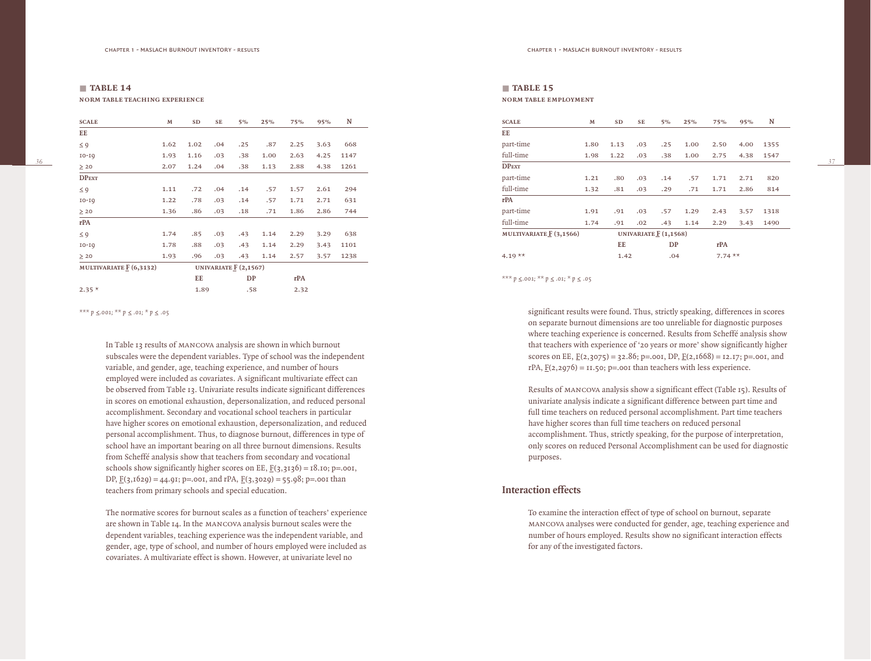# ■ **table 14 norm table teaching experience**

*36*

| <b>SCALE</b>            | M                     | SD   | SE  | $5\%$ | 25%  | 75%  | 95%  | N    |
|-------------------------|-----------------------|------|-----|-------|------|------|------|------|
| EE                      |                       |      |     |       |      |      |      |      |
| $\leq 9$                | 1.62                  | 1.02 | .04 | .25   | .87  | 2.25 | 3.63 | 668  |
| $IO-IQ$                 | 1.93                  | 1.16 | .03 | .38   | 1.00 | 2.63 | 4.25 | 1147 |
| $\geq 20$               | 2.07                  | 1.24 | .04 | .38   | 1.13 | 2.88 | 4.38 | 1261 |
| <b>DPEXT</b>            |                       |      |     |       |      |      |      |      |
| $\leq 9$                | 1.11                  | .72  | .04 | .14   | .57  | 1.57 | 2.61 | 294  |
| $IO-IQ$                 | 1.22                  | .78  | .03 | .14   | .57  | 1.71 | 2.71 | 631  |
| $\geq 20$               | 1.36                  | .86  | .03 | .18   | .71  | 1.86 | 2.86 | 744  |
| rPA                     |                       |      |     |       |      |      |      |      |
| $\leq 9$                | 1.74                  | .85  | .03 | .43   | 1.14 | 2.29 | 3.29 | 638  |
| $IO-IQ$                 | 1.78                  | .88  | .03 | .43   | 1.14 | 2.29 | 3.43 | 1101 |
| $\geq 20$               | 1.93                  | .96  | .03 | .43   | 1.14 | 2.57 | 3.57 | 1238 |
| MULTIVARIATE F (6,3132) | UNIVARIATE F (2,1567) |      |     |       |      |      |      |      |
|                         |                       | EE   |     | DP    |      | rPA  |      |      |
| $2.35*$                 |                       | 1.89 |     | .58   |      | 2.32 |      |      |

*\*\*\* p ≤.001; \*\* p ≤ .01; \* p ≤ .05*

In Table 13 results of mancova analysis are shown in which burnout subscales were the dependent variables. Type of school was the independent variable, and gender, age, teaching experience, and number of hours employed were included as covariates. A significant multivariate effect can be observed from Table 13. Univariate results indicate significant differences in scores on emotional exhaustion, depersonalization, and reduced personal accomplishment. Secondary and vocational school teachers in particular have higher scores on emotional exhaustion, depersonalization, and reduced personal accomplishment. Thus, to diagnose burnout, differences in type of school have an important bearing on all three burnout dimensions. Results from Scheffé analysis show that teachers from secondary and vocational schools show significantly higher scores on EE,  $F(3,3136) = 18.10$ ; p=.001, DP,  $\underline{F}(3,1629) = 44.91$ ; p=.001, and rPA,  $\underline{F}(3,3029) = 55.98$ ; p=.001 than teachers from primary schools and special education.

The normative scores for burnout scales as a function of teachers' experience are shown in Table 14. In the mancova analysis burnout scales were the dependent variables, teaching experience was the independent variable, and gender, age, type of school, and number of hours employed were included as covariates. A multivariate effect is shown. However, at univariate level no

#### ■ **table 15 norm table employment**

| <b>SCALE</b>            | M                     | <b>SD</b> | <b>SE</b> | 5%  | 25%  | 75%       | 95%  | N    |  |
|-------------------------|-----------------------|-----------|-----------|-----|------|-----------|------|------|--|
| EE                      |                       |           |           |     |      |           |      |      |  |
| part-time               | 1.80                  | 1.13      | .03       | .25 | 1.00 | 2.50      | 4.00 | 1355 |  |
| full-time               | 1.98                  | 1.22      | .03       | .38 | 1.00 | 2.75      | 4.38 | 1547 |  |
| <b>DPEXT</b>            |                       |           |           |     |      |           |      |      |  |
| part-time               | 1.21                  | .80       | .03       | .14 | .57  | 1.71      | 2.71 | 820  |  |
| full-time               | 1.32                  | .81       | .03       | .29 | .71  | 1.71      | 2.86 | 814  |  |
| rPA                     |                       |           |           |     |      |           |      |      |  |
| part-time               | 1.91                  | .91       | .03       | .57 | 1.29 | 2.43      | 3.57 | 1318 |  |
| full-time               | 1.74                  | .91       | .02       | .43 | 1.14 | 2.29      | 3.43 | 1490 |  |
| MULTIVARIATE F (3,1566) | UNIVARIATE F (1,1568) |           |           |     |      |           |      |      |  |
|                         |                       | EE        |           | DP  |      | rPA       |      |      |  |
| 4.19 $**$               |                       | 1.42      |           | .04 |      | $7.74***$ |      |      |  |

*\*\*\* p ≤.001; \*\* p ≤ .01; \* p ≤ .05* 

significant results were found. Thus, strictly speaking, differences in scores on separate burnout dimensions are too unreliable for diagnostic purposes where teaching experience is concerned. Results from Scheffé analysis show that teachers with experience of '20 years or more' show significantly higher scores on EE,  $\underline{F}(2,3075) = 32.86$ ; p=.001, DP,  $\underline{F}(2,1668) = 12.17$ ; p=.001, and rPA,  $F(z, 2976) = 11.50$ ; p=.001 than teachers with less experience.

Results of mancova analysis show a significant effect (Table 15). Results of univariate analysis indicate a significant difference between part time and full time teachers on reduced personal accomplishment. Part time teachers have higher scores than full time teachers on reduced personal accomplishment. Thus, strictly speaking, for the purpose of interpretation, only scores on reduced Personal Accomplishment can be used for diagnostic purposes.

# **Interaction effects**

To examine the interaction effect of type of school on burnout, separate mancova analyses were conducted for gender, age, teaching experience and number of hours employed. Results show no significant interaction effects for any of the investigated factors.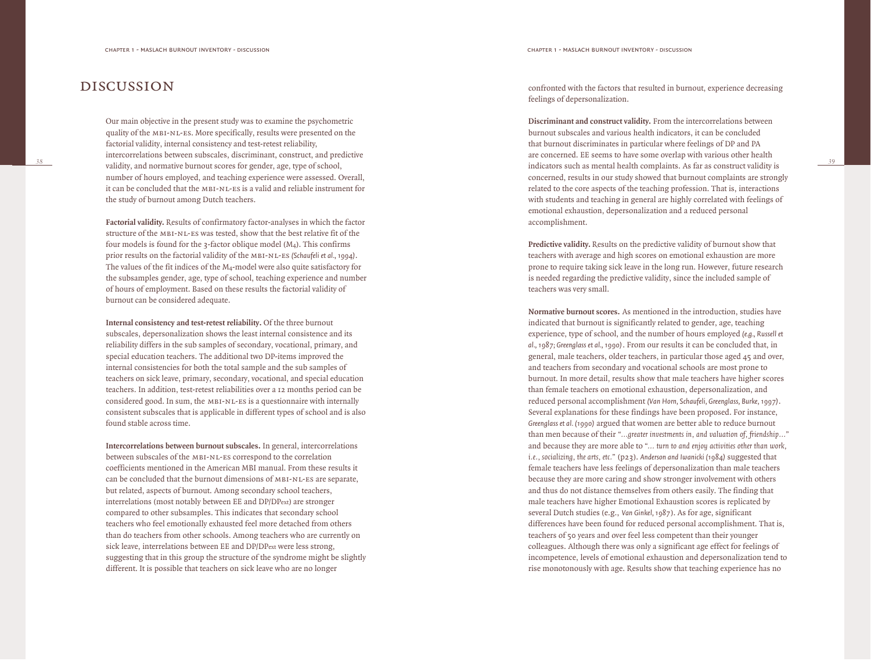# discussion

Our main objective in the present study was to examine the psychometric quality of the mbi-nl-es. More specifically, results were presented on the factorial validity, internal consistency and test-retest reliability, intercorrelations between subscales, discriminant, construct, and predictive validity, and normative burnout scores for gender, age, type of school, number of hours employed, and teaching experience were assessed. Overall, it can be concluded that the mbi-nl-es is a valid and reliable instrument for the study of burnout among Dutch teachers.

**Factorial validity.** Results of confirmatory factor-analyses in which the factor structure of the mbi-nl-es was tested, show that the best relative fit of the four models is found for the  $\alpha$ -factor oblique model (M<sub>4</sub>). This confirms prior results on the factorial validity of the mbi-nl-es *(Schaufeli et al., 1994)*. The values of the fit indices of the M4-model were also quite satisfactory for the subsamples gender, age, type of school, teaching experience and number of hours of employment. Based on these results the factorial validity of burnout can be considered adequate.

**Internal consistency and test-retest reliability.** Of the three burnout subscales, depersonalization shows the least internal consistence and its reliability differs in the sub samples of secondary, vocational, primary, and special education teachers. The additional two DP-items improved the internal consistencies for both the total sample and the sub samples of teachers on sick leave, primary, secondary, vocational, and special education teachers. In addition, test-retest reliabilities over a 12 months period can be considered good. In sum, the MBI-NL-ES is a questionnaire with internally consistent subscales that is applicable in different types of school and is also found stable across time.

**Intercorrelations between burnout subscales.** In general, intercorrelations between subscales of the mbi-nl-es correspond to the correlation coefficients mentioned in the American MBI manual. From these results it can be concluded that the burnout dimensions of mbi-nl-es are separate, but related, aspects of burnout. Among secondary school teachers, interrelations (most notably between EE and DP/DPext) are stronger compared to other subsamples. This indicates that secondary school teachers who feel emotionally exhausted feel more detached from others than do teachers from other schools. Among teachers who are currently on sick leave, interrelations between EE and DP/DPext were less strong, suggesting that in this group the structure of the syndrome might be slightly different. It is possible that teachers on sick leave who are no longer

confronted with the factors that resulted in burnout, experience decreasing feelings of depersonalization.

**Discriminant and construct validity.** From the intercorrelations between burnout subscales and various health indicators, it can be concluded that burnout discriminates in particular where feelings of DP and PA are concerned. EE seems to have some overlap with various other health indicators such as mental health complaints. As far as construct validity is concerned, results in our study showed that burnout complaints are strongly related to the core aspects of the teaching profession. That is, interactions with students and teaching in general are highly correlated with feelings of emotional exhaustion, depersonalization and a reduced personal accomplishment.

*39*

**Predictive validity.** Results on the predictive validity of burnout show that teachers with average and high scores on emotional exhaustion are more prone to require taking sick leave in the long run. However, future research is needed regarding the predictive validity, since the included sample of teachers was very small.

**Normative burnout scores.** As mentioned in the introduction, studies have indicated that burnout is significantly related to gender, age, teaching experience, type of school, and the number of hours employed *(e.g., Russell et al., 1987; Greenglass et al., 1990)*. From our results it can be concluded that, in general, male teachers, older teachers, in particular those aged 45 and over, and teachers from secondary and vocational schools are most prone to burnout. In more detail, results show that male teachers have higher scores than female teachers on emotional exhaustion, depersonalization, and reduced personal accomplishment *(Van Horn, Schaufeli, Greenglass, Burke, 1997)*. Several explanations for these findings have been proposed. For instance, *Greenglass et al. (1990)* argued that women are better able to reduce burnout than men because of their *"...greater investments in, and valuation of, friendship..."* and because they are more able to *"... turn to and enjoy activities other than work, i.e., socializing, the arts, etc."* (p23). *Anderson and Iwanicki (1984)* suggested that female teachers have less feelings of depersonalization than male teachers because they are more caring and show stronger involvement with others and thus do not distance themselves from others easily. The finding that male teachers have higher Emotional Exhaustion scores is replicated by several Dutch studies (e.g., *Van Ginkel, 1987*). As for age, significant differences have been found for reduced personal accomplishment. That is, teachers of 50 years and over feel less competent than their younger colleagues. Although there was only a significant age effect for feelings of incompetence, levels of emotional exhaustion and depersonalization tend to rise monotonously with age. Results show that teaching experience has no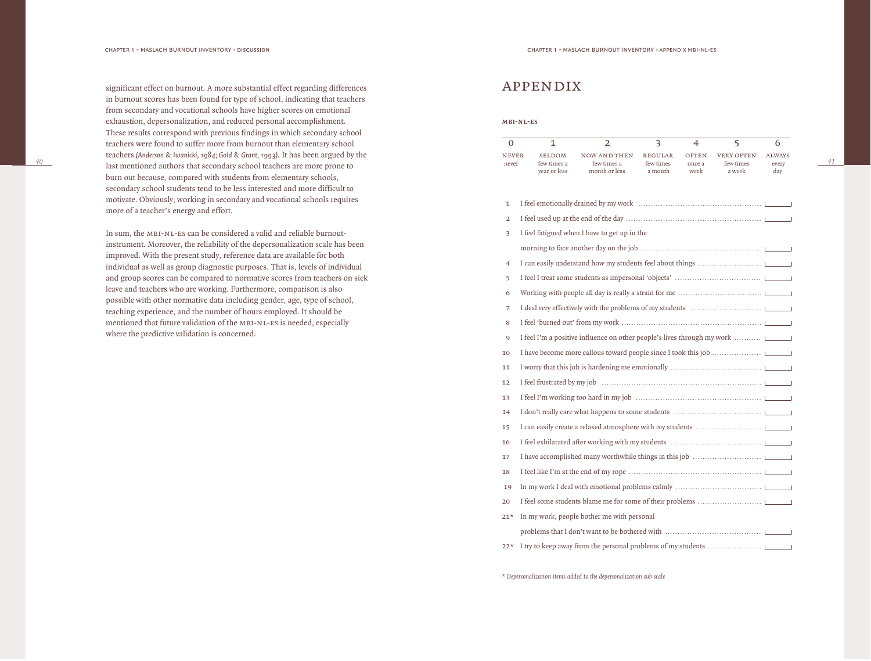*40*

significant effect on burnout. A more substantial effect regarding differences in burnout scores has been found for type of school, indicating that teachers from secondary and vocational schools have higher scores on emotional exhaustion, depersonalization, and reduced personal accomplishment. These results correspond with previous findings in which secondary school teachers were found to suffer more from burnout than elementary school teachers *(Anderson & Iwanicki, 1984; Gold & Grant, 1993)*. It has been argued by the last mentioned authors that secondary school teachers are more prone to burn out because, compared with students from elementary schools, secondary school students tend to be less interested and more difficult to motivate. Obviously, working in secondary and vocational schools requires more of a teacher's energy and effort.

In sum, the MBI-NL-ES can be considered a valid and reliable burnoutinstrument. Moreover, the reliability of the depersonalization scale has been improved. With the present study, reference data are available for both individual as well as group diagnostic purposes. That is, levels of individual and group scores can be compared to normative scores from teachers on sick leave and teachers who are working. Furthermore, comparison is also possible with other normative data including gender, age, type of school, teaching experience, and the number of hours employed. It should be mentioned that future validation of the MBI-NL-ES is needed, especially where the predictive validation is concerned.

# appendix

#### **m b i - n l - e s**

| <b>NEVER</b> | <b>SELDOM</b>               | NOW AND THEN                 | <b>REGULAR</b>       | <b>OFTEN</b>   | <b>VERY OFTEN</b>   | <b>ALWAYS</b> |
|--------------|-----------------------------|------------------------------|----------------------|----------------|---------------------|---------------|
| never        | few times a<br>vear or less | few times a<br>month or less | few times<br>a month | once a<br>week | few times<br>a week | every<br>dav  |

*41*

| $\mathbf{1}$   |                                                                         |
|----------------|-------------------------------------------------------------------------|
| $\overline{2}$ |                                                                         |
| 3              | I feel fatigued when I have to get up in the                            |
|                |                                                                         |
| $\overline{4}$ |                                                                         |
| 5              |                                                                         |
| 6              |                                                                         |
| 7              |                                                                         |
| 8              |                                                                         |
| 9              | I feel I'm a positive influence on other people's lives through my work |
| 10             |                                                                         |
| 11             |                                                                         |
| 12             |                                                                         |
| 13             |                                                                         |
| 14             |                                                                         |
| 15             |                                                                         |
| 16             |                                                                         |
| 17             |                                                                         |
| 18             |                                                                         |
| 19             |                                                                         |
| 20             |                                                                         |
| $21*$          | In my work, people bother me with personal                              |
|                |                                                                         |
| $22*$          |                                                                         |

*\* Depersonalization items added to the depersonalization sub scale*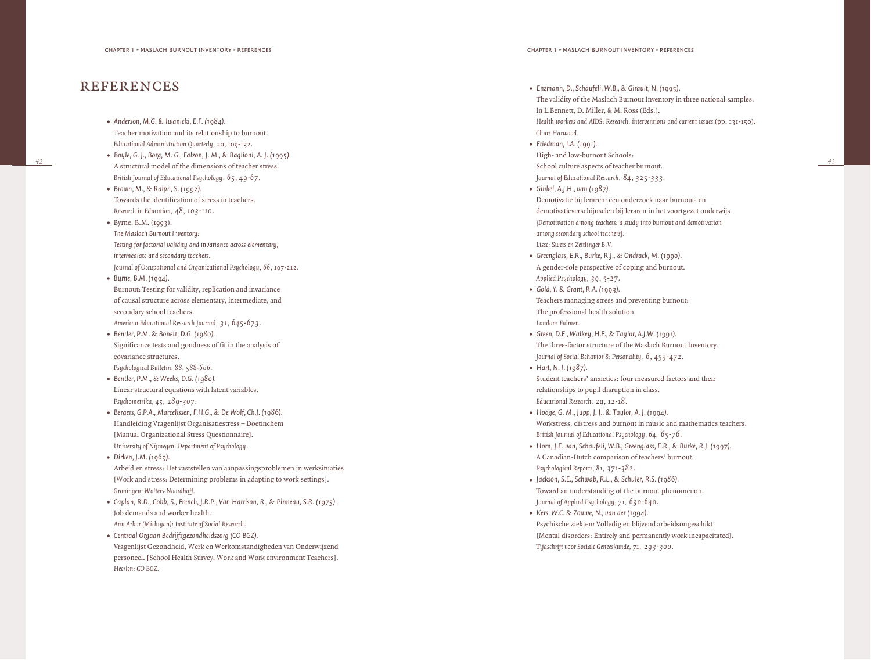# **REFERENCES**

- *• Anderson, M.G. & Iwanicki, E.F. (1984).* Teacher motivation and its relationship to burnout. *Educational Administration Quarterly ,* 20, 109-132.
- *• Boyle, G. J., Borg, M. G., Falzon, J. M., & Baglioni, A. J. (1995).* A structural model of the dimensions of teacher stress. *British Journal of Educational Psychology , 65, 49-67.*
- *• Brown, M., & Ralph, S. (1992).* Towards the identification of stress in teachers. *Research in Education, 48, 103-110.*
- *•* Byrne, B.M. (1993). *Testing for factorial validity and invariance across elementary, intermediate and secondary teachers.*
- *Journal of Occupational and Organizational Psychology, 66, 197-212.*
- *• Byrne, B.M. (1994).*  Burnout: Testing for validity, replication and invariance of causal structure across elementary, intermediate, and secondary school teachers. *American Educational Research Journal, 31, 645-673.*
- *• Bentler, P.M. & Bonett, D.G. (1980).*  Significance tests and goodness of fit in the analysis of covariance structures. *Psychological Bulletin, 88, 588-606.*
- *• Bentler, P.M., & Weeks, D.G. (1980).*  Linear structural equations with latent variables. *Psychometrika, 45, 289-307.*
- *• Bergers, G.P.A., Marcelissen, F.H.G., & De Wolf, Ch.J. (1986).*  Handleiding Vragenlijst Organisatiestress – Doetinchem [Manual Organizational Stress Questionnaire]. *University of Nijmegen: Department of Psychology .*
- *• Dirken, J.M. (1969).*  Arbeid en stress: Het vaststellen van aanpassingsproblemen in werksituaties [Work and stress: Determining problems in adapting to work settings]. *Groningen: Wolters-Noordhoff.*
- *• Caplan, R.D., Cobb, S., French, J.R.P., Van Harrison, R., & Pinneau, S.R. (1975).*  Job demands and worker health. *Ann Arbor (Michigan): Institute of Social Research.*
- *• Centraal Orgaan Bedrijfsgezondheidszorg (CO BGZ).* Vragenlijst Gezondheid, Werk en Werkomstandigheden van Onderwijzend personeel. [School Health Survey, Work and Work environment Teachers]. *Heerlen: CO BGZ.*
- *• Enzmann, D., Schaufeli, W.B., & Girault, N. (1995).*  The validity of the Maslach Burnout Inventory in three national samples. In L.Bennett, D. Miller, & M. Ross (Eds.). *Health workers and AIDS: Research, interventions and current issues* (pp. 131-150). *Chur: Harwood.*
- *• Friedman, I.A. (1991).*  High- and low-burnout Schools: School culture aspects of teacher burnout. *Journal of Educational Research, 84, 325-333.*
- *• Ginkel, A.J.H., van (1987).*  Demotivatie bij leraren: een onderzoek naar burnout- en demotivatieverschijnselen bij leraren in het voortgezet onderwijs *[Demotivation among teachers: a study into burnout and demotivation among secondary school teachers]. Lisse: Swets en Zeitlinger B.V.*
- *• Greenglass, E.R., Burke, R.J., & Ondrack, M. (1990).*  A gender-role perspective of coping and burnout. *Applied Psychology , 39, 5-27.*
- *• Gold, Y. & Grant, R.A. (1993).* Teachers managing stress and preventing burnout: The professional health solution. *London: Falmer .*
- *• Green, D.E., Walkey, H.F., & Taylor, A.J.W. (1991).*  The three-factor structure of the Maslach Burnout Inventory. *Journal of Social Behavior & Personality , 6, 453-472.*
- *• Hart, N. I. (1987).*  Student teachers' anxieties: four measured factors and their relationships to pupil disruption in class. *Educational Research, 29, 12-18.*
- *• Hodge, G. M., Jupp, J. J., & Taylor, A. J. (1994).* Workstress, distress and burnout in music and mathematics teachers. *British Journal of Educational Psychology, 64, 65-76.*
- *• Horn, J.E. van, Schaufeli, W.B., Greenglass, E.R., & Burke, R.J. (1997).*  A Canadian-Dutch comparison of teachers' burnout. *Psychological Reports, 81, 371-382.*
- *• Jackson, S.E., Schwab, R.L., & Schuler, R.S. (1986).* Toward an understanding of the burnout phenomenon. *Journal of Applied Psychology, 71, 630-640.*
- *• Kers, W.C. & Zouwe, N., van der (1994).*  Psychische ziekten: Volledig en blijvend arbeidsongeschikt [Mental disorders: Entirely and permanently work incapacitated]. *Tijdschrift voor Sociale Geneeskunde, 71, 293-300.*